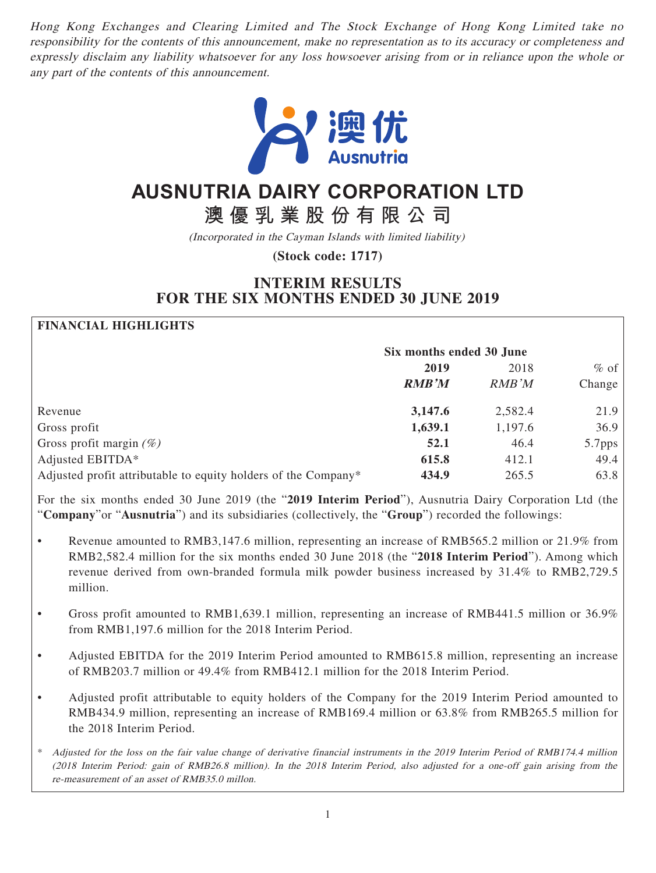Hong Kong Exchanges and Clearing Limited and The Stock Exchange of Hong Kong Limited take no responsibility for the contents of this announcement, make no representation as to its accuracy or completeness and expressly disclaim any liability whatsoever for any loss howsoever arising from or in reliance upon the whole or any part of the contents of this announcement.



# **AUSNUTRIA DAIRY CORPORATION LTD**

**澳優乳業股份有限公司**

(Incorporated in the Cayman Islands with limited liability)

**(Stock code: 1717)**

# **INTERIM RESULTS FOR THE SIX MONTHS ENDED 30 JUNE 2019**

# **FINANCIAL HIGHLIGHTS**

|                                                                | Six months ended 30 June |               |        |
|----------------------------------------------------------------|--------------------------|---------------|--------|
|                                                                | 2019                     | 2018          | $%$ of |
|                                                                | <b>RMB'M</b>             | <b>RMB</b> 'M | Change |
| Revenue                                                        | 3,147.6                  | 2,582.4       | 21.9   |
| Gross profit                                                   | 1,639.1                  | 1,197.6       | 36.9   |
| Gross profit margin $(\%)$                                     | 52.1                     | 46.4          | 5.7pps |
| Adjusted EBITDA*                                               | 615.8                    | 412.1         | 49.4   |
| Adjusted profit attributable to equity holders of the Company* | 434.9                    | 265.5         | 63.8   |

For the six months ended 30 June 2019 (the "**2019 Interim Period**"), Ausnutria Dairy Corporation Ltd (the "**Company**"or "**Ausnutria**") and its subsidiaries (collectively, the "**Group**") recorded the followings:

- Revenue amounted to RMB3,147.6 million, representing an increase of RMB565.2 million or 21.9% from RMB2,582.4 million for the six months ended 30 June 2018 (the "**2018 Interim Period**"). Among which revenue derived from own-branded formula milk powder business increased by 31.4% to RMB2,729.5 million.
- Gross profit amounted to RMB1,639.1 million, representing an increase of RMB441.5 million or 36.9% from RMB1,197.6 million for the 2018 Interim Period.
- Adjusted EBITDA for the 2019 Interim Period amounted to RMB615.8 million, representing an increase of RMB203.7 million or 49.4% from RMB412.1 million for the 2018 Interim Period.
- Adjusted profit attributable to equity holders of the Company for the 2019 Interim Period amounted to RMB434.9 million, representing an increase of RMB169.4 million or 63.8% from RMB265.5 million for the 2018 Interim Period.
- \* Adjusted for the loss on the fair value change of derivative financial instruments in the 2019 Interim Period of RMB174.4 million (2018 Interim Period: gain of RMB26.8 million). In the 2018 Interim Period, also adjusted for a one-off gain arising from the re-measurement of an asset of RMB35.0 millon.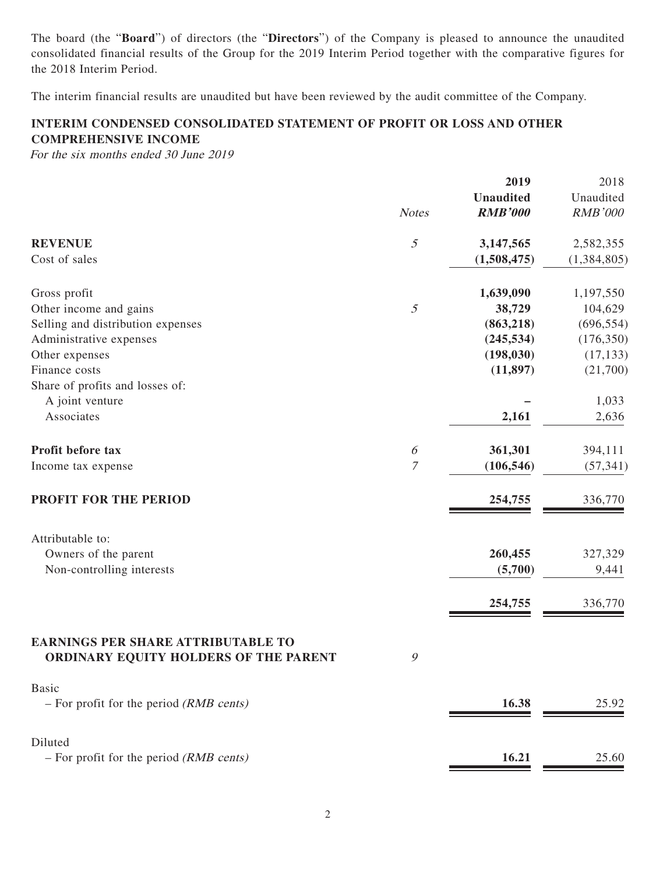The board (the "**Board**") of directors (the "**Directors**") of the Company is pleased to announce the unaudited consolidated financial results of the Group for the 2019 Interim Period together with the comparative figures for the 2018 Interim Period.

The interim financial results are unaudited but have been reviewed by the audit committee of the Company.

# **INTERIM CONDENSED CONSOLIDATED STATEMENT OF PROFIT OR LOSS AND OTHER COMPREHENSIVE INCOME**

For the six months ended 30 June 2019

|                                                                                    |                       | 2019             | 2018           |
|------------------------------------------------------------------------------------|-----------------------|------------------|----------------|
|                                                                                    |                       | <b>Unaudited</b> | Unaudited      |
|                                                                                    | <b>Notes</b>          | <b>RMB'000</b>   | <b>RMB'000</b> |
| <b>REVENUE</b>                                                                     | 5                     | 3,147,565        | 2,582,355      |
| Cost of sales                                                                      |                       | (1,508,475)      | (1,384,805)    |
| Gross profit                                                                       |                       | 1,639,090        | 1,197,550      |
| Other income and gains                                                             | 5                     | 38,729           | 104,629        |
| Selling and distribution expenses                                                  |                       | (863, 218)       | (696, 554)     |
| Administrative expenses                                                            |                       | (245, 534)       | (176, 350)     |
| Other expenses                                                                     |                       | (198, 030)       | (17, 133)      |
| Finance costs                                                                      |                       | (11, 897)        | (21,700)       |
| Share of profits and losses of:                                                    |                       |                  |                |
| A joint venture                                                                    |                       |                  | 1,033          |
| Associates                                                                         |                       | 2,161            | 2,636          |
| Profit before tax                                                                  | $\boldsymbol{\delta}$ | 361,301          | 394,111        |
| Income tax expense                                                                 | $\mathcal I$          | (106, 546)       | (57, 341)      |
| PROFIT FOR THE PERIOD                                                              |                       | 254,755          | 336,770        |
| Attributable to:                                                                   |                       |                  |                |
| Owners of the parent                                                               |                       | 260,455          | 327,329        |
| Non-controlling interests                                                          |                       | (5,700)          | 9,441          |
|                                                                                    |                       |                  |                |
|                                                                                    |                       | 254,755          | 336,770        |
| <b>EARNINGS PER SHARE ATTRIBUTABLE TO</b><br>ORDINARY EQUITY HOLDERS OF THE PARENT | 9                     |                  |                |
| <b>Basic</b><br>$-$ For profit for the period ( <i>RMB cents</i> )                 |                       | 16.38            | 25.92          |
| Diluted                                                                            |                       |                  |                |
| $-$ For profit for the period ( <i>RMB cents</i> )                                 |                       | 16.21            | 25.60          |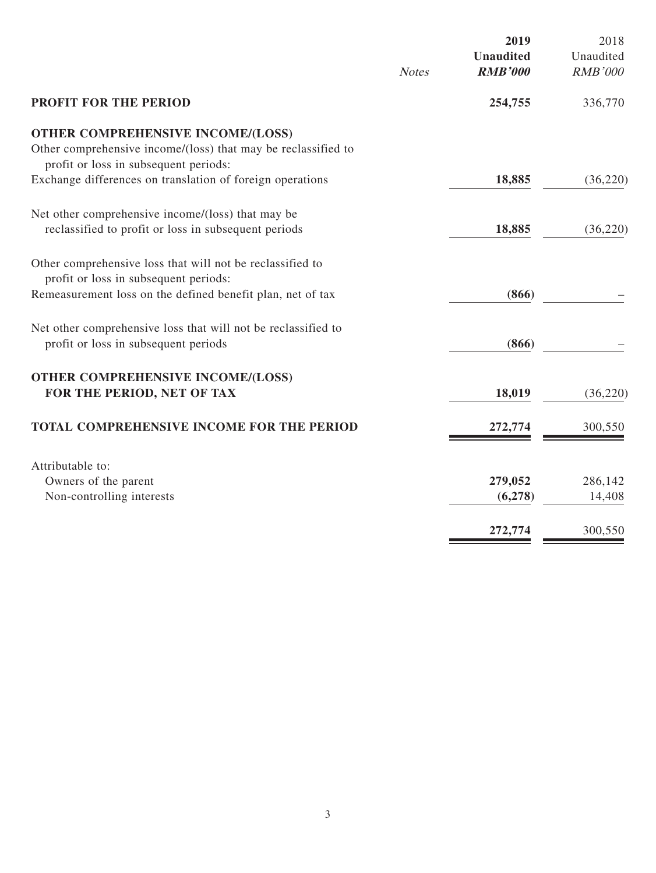|                                                                                                                                                    | <b>Notes</b> | 2019<br><b>Unaudited</b><br><b>RMB'000</b> | 2018<br>Unaudited<br><b>RMB'000</b> |
|----------------------------------------------------------------------------------------------------------------------------------------------------|--------------|--------------------------------------------|-------------------------------------|
| <b>PROFIT FOR THE PERIOD</b>                                                                                                                       |              | 254,755                                    | 336,770                             |
| <b>OTHER COMPREHENSIVE INCOME/(LOSS)</b><br>Other comprehensive income/(loss) that may be reclassified to<br>profit or loss in subsequent periods: |              |                                            |                                     |
| Exchange differences on translation of foreign operations                                                                                          |              | 18,885                                     | (36, 220)                           |
| Net other comprehensive income/(loss) that may be<br>reclassified to profit or loss in subsequent periods                                          |              | 18,885                                     | (36,220)                            |
| Other comprehensive loss that will not be reclassified to<br>profit or loss in subsequent periods:                                                 |              |                                            |                                     |
| Remeasurement loss on the defined benefit plan, net of tax                                                                                         |              | (866)                                      |                                     |
| Net other comprehensive loss that will not be reclassified to<br>profit or loss in subsequent periods                                              |              | (866)                                      |                                     |
| <b>OTHER COMPREHENSIVE INCOME/(LOSS)</b><br>FOR THE PERIOD, NET OF TAX                                                                             |              | 18,019                                     | (36,220)                            |
| TOTAL COMPREHENSIVE INCOME FOR THE PERIOD                                                                                                          |              | 272,774                                    | 300,550                             |
| Attributable to:                                                                                                                                   |              |                                            |                                     |
| Owners of the parent                                                                                                                               |              | 279,052                                    | 286,142                             |
| Non-controlling interests                                                                                                                          |              | (6,278)                                    | 14,408                              |
|                                                                                                                                                    |              | 272,774                                    | 300,550                             |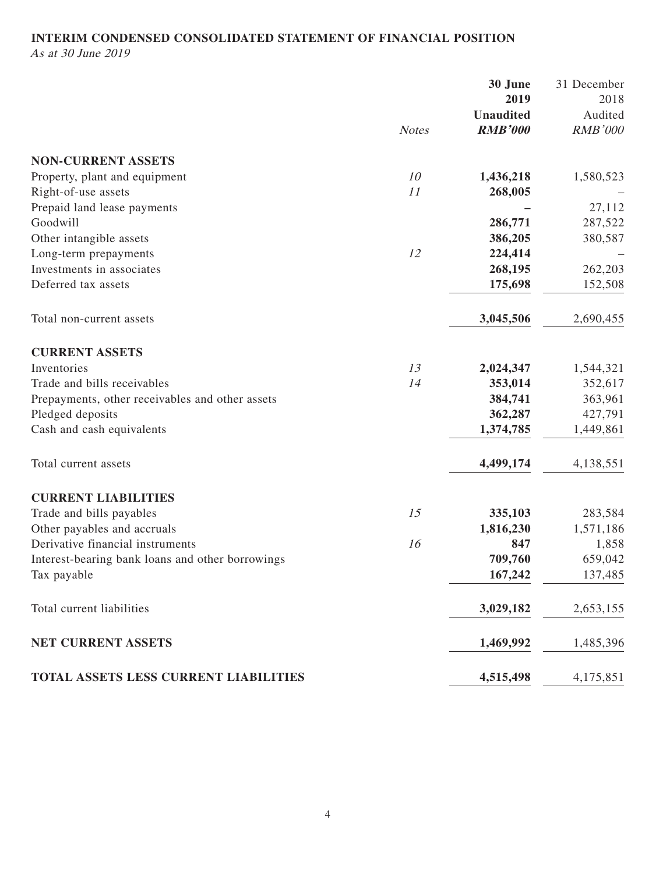# **INTERIM CONDENSED CONSOLIDATED STATEMENT OF FINANCIAL POSITION**

As at 30 June 2019

|                                                  |              | 30 June          | 31 December    |
|--------------------------------------------------|--------------|------------------|----------------|
|                                                  |              | 2019             | 2018           |
|                                                  |              | <b>Unaudited</b> | Audited        |
|                                                  | <b>Notes</b> | <b>RMB'000</b>   | <b>RMB'000</b> |
| <b>NON-CURRENT ASSETS</b>                        |              |                  |                |
| Property, plant and equipment                    | 10           | 1,436,218        | 1,580,523      |
| Right-of-use assets                              | 11           | 268,005          |                |
| Prepaid land lease payments                      |              |                  | 27,112         |
| Goodwill                                         |              | 286,771          | 287,522        |
| Other intangible assets                          |              | 386,205          | 380,587        |
| Long-term prepayments                            | 12           | 224,414          |                |
| Investments in associates                        |              | 268,195          | 262,203        |
| Deferred tax assets                              |              | 175,698          | 152,508        |
| Total non-current assets                         |              | 3,045,506        | 2,690,455      |
| <b>CURRENT ASSETS</b>                            |              |                  |                |
| Inventories                                      | 13           | 2,024,347        | 1,544,321      |
| Trade and bills receivables                      | 14           | 353,014          | 352,617        |
| Prepayments, other receivables and other assets  |              | 384,741          | 363,961        |
| Pledged deposits                                 |              | 362,287          | 427,791        |
| Cash and cash equivalents                        |              | 1,374,785        | 1,449,861      |
| Total current assets                             |              | 4,499,174        | 4,138,551      |
| <b>CURRENT LIABILITIES</b>                       |              |                  |                |
| Trade and bills payables                         | 15           | 335,103          | 283,584        |
| Other payables and accruals                      |              | 1,816,230        | 1,571,186      |
| Derivative financial instruments                 | 16           | 847              | 1,858          |
| Interest-bearing bank loans and other borrowings |              | 709,760          | 659,042        |
| Tax payable                                      |              | 167,242          | 137,485        |
| Total current liabilities                        |              | 3,029,182        | 2,653,155      |
| <b>NET CURRENT ASSETS</b>                        |              | 1,469,992        | 1,485,396      |
| TOTAL ASSETS LESS CURRENT LIABILITIES            |              | 4,515,498        | 4,175,851      |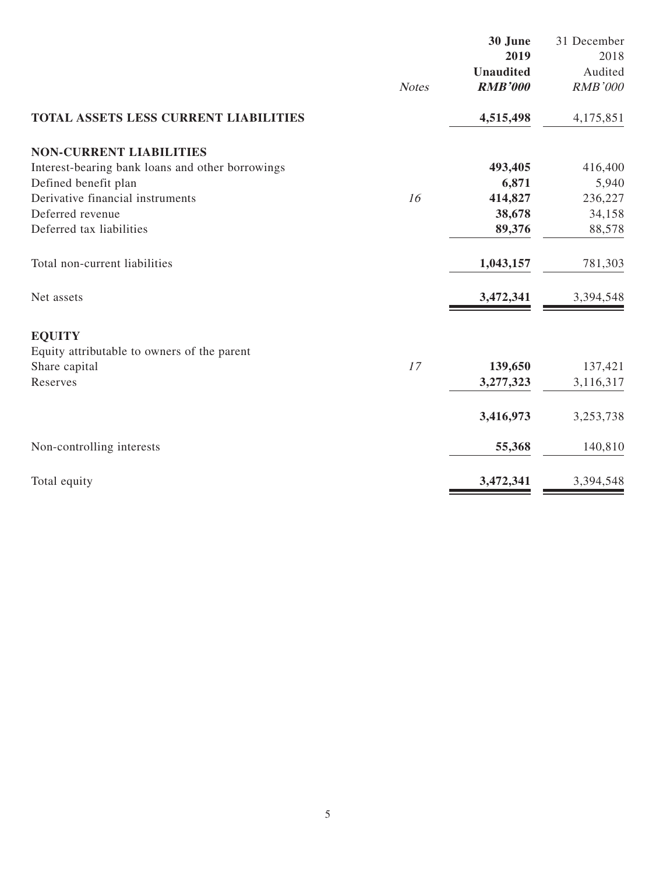|                                                  |              | 30 June<br>2019  | 31 December<br>2018 |
|--------------------------------------------------|--------------|------------------|---------------------|
|                                                  |              | <b>Unaudited</b> | Audited             |
|                                                  | <b>Notes</b> | <b>RMB'000</b>   | <b>RMB'000</b>      |
|                                                  |              |                  |                     |
| TOTAL ASSETS LESS CURRENT LIABILITIES            |              | 4,515,498        | 4,175,851           |
| <b>NON-CURRENT LIABILITIES</b>                   |              |                  |                     |
| Interest-bearing bank loans and other borrowings |              | 493,405          | 416,400             |
| Defined benefit plan                             |              | 6,871            | 5,940               |
| Derivative financial instruments                 | 16           | 414,827          | 236,227             |
| Deferred revenue                                 |              | 38,678           | 34,158              |
| Deferred tax liabilities                         |              | 89,376           | 88,578              |
| Total non-current liabilities                    |              | 1,043,157        | 781,303             |
| Net assets                                       |              | 3,472,341        | 3,394,548           |
| <b>EQUITY</b>                                    |              |                  |                     |
| Equity attributable to owners of the parent      |              |                  |                     |
| Share capital                                    | 17           | 139,650          | 137,421             |
| Reserves                                         |              | 3,277,323        | 3,116,317           |
|                                                  |              | 3,416,973        | 3,253,738           |
| Non-controlling interests                        |              | 55,368           | 140,810             |
| Total equity                                     |              | 3,472,341        | 3,394,548           |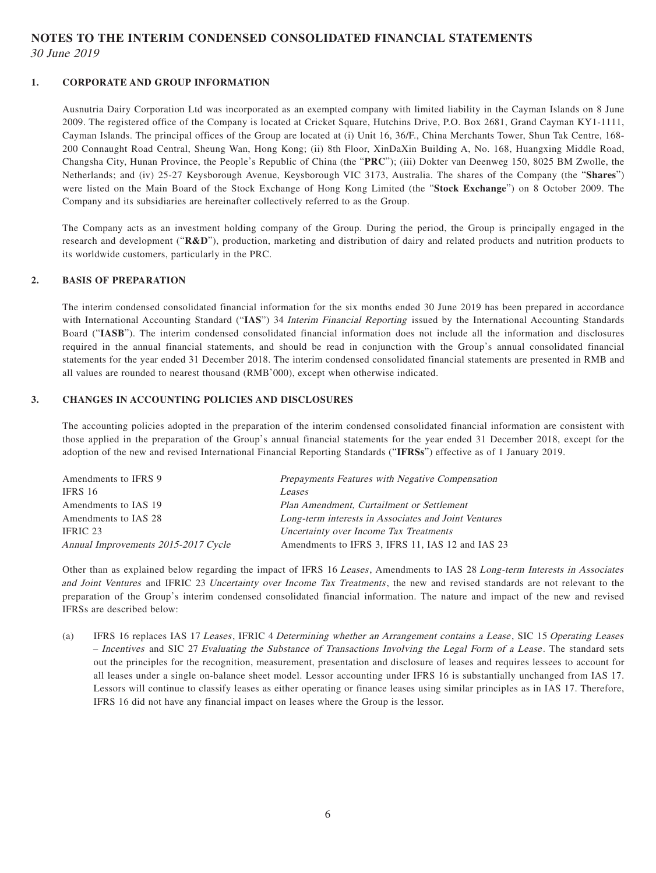# **NOTES TO THE INTERIM CONDENSED CONSOLIDATED FINANCIAL STATEMENTS** 30 June 2019

### **1. CORPORATE AND GROUP INFORMATION**

Ausnutria Dairy Corporation Ltd was incorporated as an exempted company with limited liability in the Cayman Islands on 8 June 2009. The registered office of the Company is located at Cricket Square, Hutchins Drive, P.O. Box 2681, Grand Cayman KY1-1111, Cayman Islands. The principal offices of the Group are located at (i) Unit 16, 36/F., China Merchants Tower, Shun Tak Centre, 168- 200 Connaught Road Central, Sheung Wan, Hong Kong; (ii) 8th Floor, XinDaXin Building A, No. 168, Huangxing Middle Road, Changsha City, Hunan Province, the People's Republic of China (the "**PRC**"); (iii) Dokter van Deenweg 150, 8025 BM Zwolle, the Netherlands; and (iv) 25-27 Keysborough Avenue, Keysborough VIC 3173, Australia. The shares of the Company (the "**Shares**") were listed on the Main Board of the Stock Exchange of Hong Kong Limited (the "**Stock Exchange**") on 8 October 2009. The Company and its subsidiaries are hereinafter collectively referred to as the Group.

The Company acts as an investment holding company of the Group. During the period, the Group is principally engaged in the research and development ("**R&D**"), production, marketing and distribution of dairy and related products and nutrition products to its worldwide customers, particularly in the PRC.

#### **2. BASIS OF PREPARATION**

The interim condensed consolidated financial information for the six months ended 30 June 2019 has been prepared in accordance with International Accounting Standard ("**IAS**") 34 Interim Financial Reporting issued by the International Accounting Standards Board ("**IASB**"). The interim condensed consolidated financial information does not include all the information and disclosures required in the annual financial statements, and should be read in conjunction with the Group's annual consolidated financial statements for the year ended 31 December 2018. The interim condensed consolidated financial statements are presented in RMB and all values are rounded to nearest thousand (RMB'000), except when otherwise indicated.

#### **3. CHANGES IN ACCOUNTING POLICIES AND DISCLOSURES**

The accounting policies adopted in the preparation of the interim condensed consolidated financial information are consistent with those applied in the preparation of the Group's annual financial statements for the year ended 31 December 2018, except for the adoption of the new and revised International Financial Reporting Standards ("**IFRSs**") effective as of 1 January 2019.

| Amendments to IFRS 9                | Prepayments Features with Negative Compensation      |
|-------------------------------------|------------------------------------------------------|
| IFRS 16                             | Leases                                               |
| Amendments to IAS 19                | Plan Amendment, Curtailment or Settlement            |
| Amendments to IAS 28                | Long-term interests in Associates and Joint Ventures |
| IFRIC 23                            | Uncertainty over Income Tax Treatments               |
| Annual Improvements 2015-2017 Cycle | Amendments to IFRS 3, IFRS 11, IAS 12 and IAS 23     |

Other than as explained below regarding the impact of IFRS 16 Leases, Amendments to IAS 28 Long-term Interests in Associates and Joint Ventures and IFRIC 23 Uncertainty over Income Tax Treatments, the new and revised standards are not relevant to the preparation of the Group's interim condensed consolidated financial information. The nature and impact of the new and revised IFRSs are described below:

(a) IFRS 16 replaces IAS 17 Leases, IFRIC 4 Determining whether an Arrangement contains a Lease , SIC 15 Operating Leases – Incentives and SIC 27 Evaluating the Substance of Transactions Involving the Legal Form of a Lease . The standard sets out the principles for the recognition, measurement, presentation and disclosure of leases and requires lessees to account for all leases under a single on-balance sheet model. Lessor accounting under IFRS 16 is substantially unchanged from IAS 17. Lessors will continue to classify leases as either operating or finance leases using similar principles as in IAS 17. Therefore, IFRS 16 did not have any financial impact on leases where the Group is the lessor.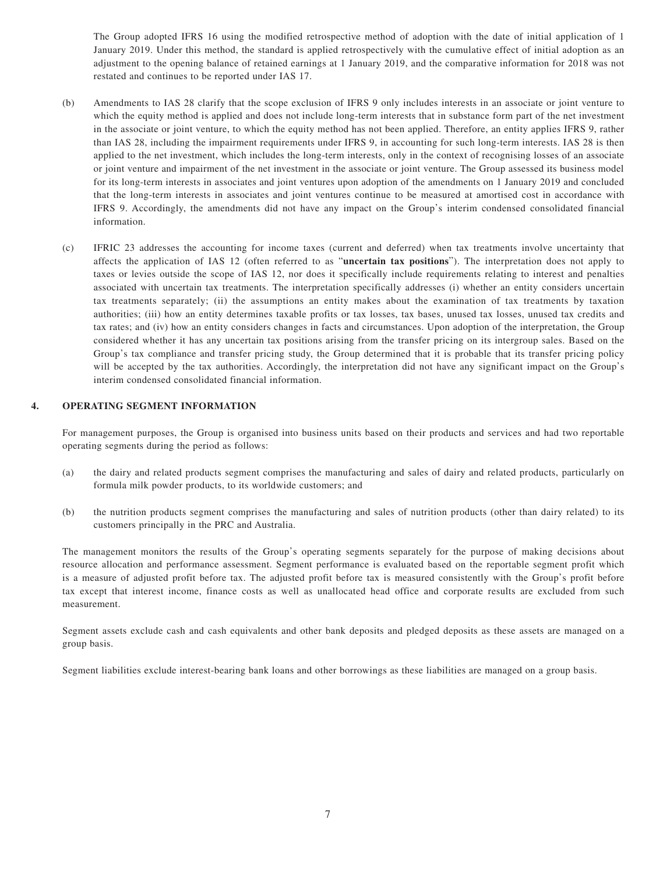The Group adopted IFRS 16 using the modified retrospective method of adoption with the date of initial application of 1 January 2019. Under this method, the standard is applied retrospectively with the cumulative effect of initial adoption as an adjustment to the opening balance of retained earnings at 1 January 2019, and the comparative information for 2018 was not restated and continues to be reported under IAS 17.

- (b) Amendments to IAS 28 clarify that the scope exclusion of IFRS 9 only includes interests in an associate or joint venture to which the equity method is applied and does not include long-term interests that in substance form part of the net investment in the associate or joint venture, to which the equity method has not been applied. Therefore, an entity applies IFRS 9, rather than IAS 28, including the impairment requirements under IFRS 9, in accounting for such long-term interests. IAS 28 is then applied to the net investment, which includes the long-term interests, only in the context of recognising losses of an associate or joint venture and impairment of the net investment in the associate or joint venture. The Group assessed its business model for its long-term interests in associates and joint ventures upon adoption of the amendments on 1 January 2019 and concluded that the long-term interests in associates and joint ventures continue to be measured at amortised cost in accordance with IFRS 9. Accordingly, the amendments did not have any impact on the Group's interim condensed consolidated financial information.
- (c) IFRIC 23 addresses the accounting for income taxes (current and deferred) when tax treatments involve uncertainty that affects the application of IAS 12 (often referred to as "**uncertain tax positions**"). The interpretation does not apply to taxes or levies outside the scope of IAS 12, nor does it specifically include requirements relating to interest and penalties associated with uncertain tax treatments. The interpretation specifically addresses (i) whether an entity considers uncertain tax treatments separately; (ii) the assumptions an entity makes about the examination of tax treatments by taxation authorities; (iii) how an entity determines taxable profits or tax losses, tax bases, unused tax losses, unused tax credits and tax rates; and (iv) how an entity considers changes in facts and circumstances. Upon adoption of the interpretation, the Group considered whether it has any uncertain tax positions arising from the transfer pricing on its intergroup sales. Based on the Group's tax compliance and transfer pricing study, the Group determined that it is probable that its transfer pricing policy will be accepted by the tax authorities. Accordingly, the interpretation did not have any significant impact on the Group's interim condensed consolidated financial information.

#### **4. OPERATING SEGMENT INFORMATION**

For management purposes, the Group is organised into business units based on their products and services and had two reportable operating segments during the period as follows:

- (a) the dairy and related products segment comprises the manufacturing and sales of dairy and related products, particularly on formula milk powder products, to its worldwide customers; and
- (b) the nutrition products segment comprises the manufacturing and sales of nutrition products (other than dairy related) to its customers principally in the PRC and Australia.

The management monitors the results of the Group's operating segments separately for the purpose of making decisions about resource allocation and performance assessment. Segment performance is evaluated based on the reportable segment profit which is a measure of adjusted profit before tax. The adjusted profit before tax is measured consistently with the Group's profit before tax except that interest income, finance costs as well as unallocated head office and corporate results are excluded from such measurement.

Segment assets exclude cash and cash equivalents and other bank deposits and pledged deposits as these assets are managed on a group basis.

Segment liabilities exclude interest-bearing bank loans and other borrowings as these liabilities are managed on a group basis.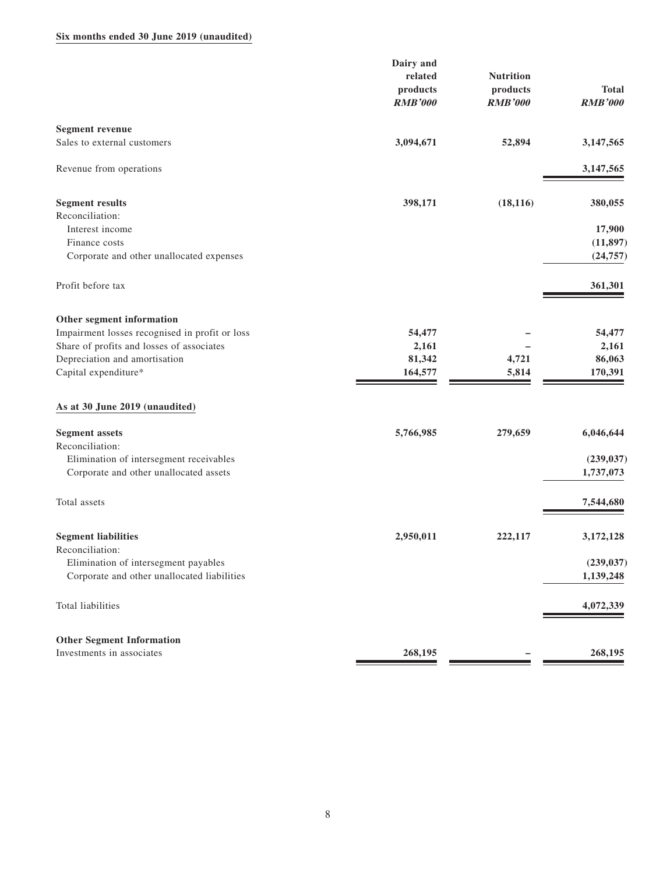### **Six months ended 30 June 2019 (unaudited)**

|                                                | Dairy and      |                  |                |
|------------------------------------------------|----------------|------------------|----------------|
|                                                | related        | <b>Nutrition</b> |                |
|                                                | products       | products         | <b>Total</b>   |
|                                                | <b>RMB'000</b> | <b>RMB'000</b>   | <b>RMB'000</b> |
| <b>Segment revenue</b>                         |                |                  |                |
| Sales to external customers                    | 3,094,671      | 52,894           | 3,147,565      |
|                                                |                |                  |                |
| Revenue from operations                        |                |                  | 3,147,565      |
| <b>Segment results</b>                         | 398,171        | (18, 116)        | 380,055        |
| Reconciliation:                                |                |                  |                |
| Interest income                                |                |                  | 17,900         |
| Finance costs                                  |                |                  | (11, 897)      |
| Corporate and other unallocated expenses       |                |                  | (24, 757)      |
| Profit before tax                              |                |                  | 361,301        |
| Other segment information                      |                |                  |                |
| Impairment losses recognised in profit or loss | 54,477         |                  | 54,477         |
| Share of profits and losses of associates      | 2,161          |                  | 2,161          |
| Depreciation and amortisation                  | 81,342         | 4,721            | 86,063         |
| Capital expenditure*                           | 164,577        | 5,814            | 170,391        |
| As at 30 June 2019 (unaudited)                 |                |                  |                |
| <b>Segment</b> assets                          | 5,766,985      | 279,659          | 6,046,644      |
| Reconciliation:                                |                |                  |                |
| Elimination of intersegment receivables        |                |                  | (239, 037)     |
| Corporate and other unallocated assets         |                |                  | 1,737,073      |
| Total assets                                   |                |                  | 7,544,680      |
| <b>Segment liabilities</b>                     | 2,950,011      | 222,117          | 3,172,128      |
| Reconciliation:                                |                |                  |                |
| Elimination of intersegment payables           |                |                  | (239, 037)     |
| Corporate and other unallocated liabilities    |                |                  | 1,139,248      |
| Total liabilities                              |                |                  | 4,072,339      |
| <b>Other Segment Information</b>               |                |                  |                |
| Investments in associates                      | 268,195        |                  | 268,195        |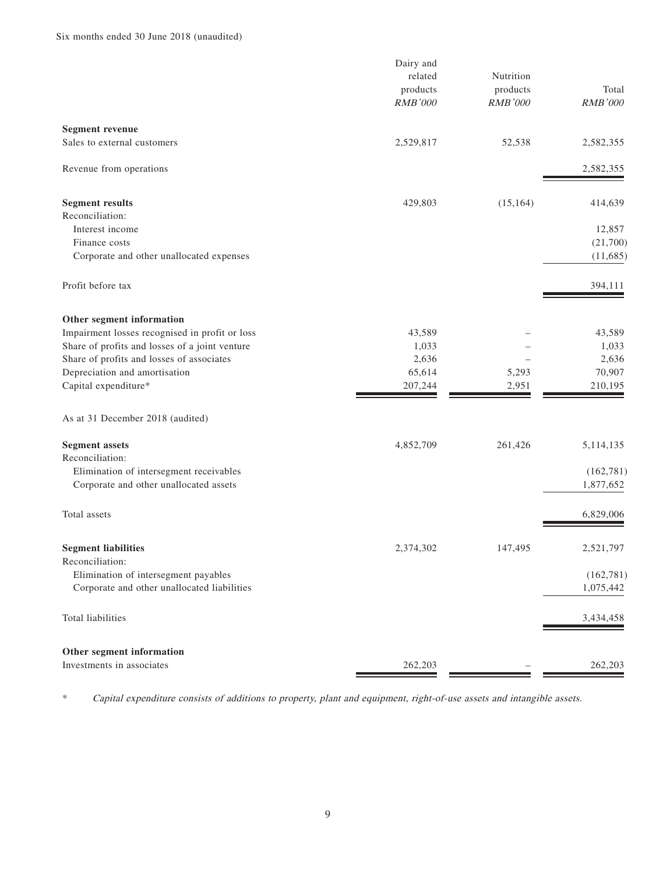|                                                | Dairy and                  |                            |                |
|------------------------------------------------|----------------------------|----------------------------|----------------|
|                                                | related                    | Nutrition                  | Total          |
|                                                | products<br><b>RMB'000</b> | products<br><b>RMB'000</b> | <b>RMB'000</b> |
|                                                |                            |                            |                |
| <b>Segment revenue</b>                         |                            |                            |                |
| Sales to external customers                    | 2,529,817                  | 52,538                     | 2,582,355      |
| Revenue from operations                        |                            |                            | 2,582,355      |
| <b>Segment results</b>                         | 429,803                    | (15, 164)                  | 414,639        |
| Reconciliation:                                |                            |                            |                |
| Interest income                                |                            |                            | 12,857         |
| Finance costs                                  |                            |                            | (21,700)       |
| Corporate and other unallocated expenses       |                            |                            | (11, 685)      |
| Profit before tax                              |                            |                            | 394,111        |
| Other segment information                      |                            |                            |                |
| Impairment losses recognised in profit or loss | 43,589                     |                            | 43,589         |
| Share of profits and losses of a joint venture | 1,033                      |                            | 1,033          |
| Share of profits and losses of associates      | 2,636                      |                            | 2,636          |
| Depreciation and amortisation                  | 65,614                     | 5,293                      | 70,907         |
| Capital expenditure*                           | 207,244                    | 2,951                      | 210,195        |
| As at 31 December 2018 (audited)               |                            |                            |                |
| <b>Segment assets</b>                          | 4,852,709                  | 261,426                    | 5, 114, 135    |
| Reconciliation:                                |                            |                            |                |
| Elimination of intersegment receivables        |                            |                            | (162, 781)     |
| Corporate and other unallocated assets         |                            |                            | 1,877,652      |
| Total assets                                   |                            |                            | 6,829,006      |
| <b>Segment liabilities</b>                     | 2,374,302                  | 147,495                    | 2,521,797      |
| Reconciliation:                                |                            |                            |                |
| Elimination of intersegment payables           |                            |                            | (162, 781)     |
| Corporate and other unallocated liabilities    |                            |                            | 1,075,442      |
| Total liabilities                              |                            |                            | 3,434,458      |
| Other segment information                      |                            |                            |                |
| Investments in associates                      | 262,203                    |                            | 262,203        |

\* Capital expenditure consists of additions to property, plant and equipment, right-of-use assets and intangible assets.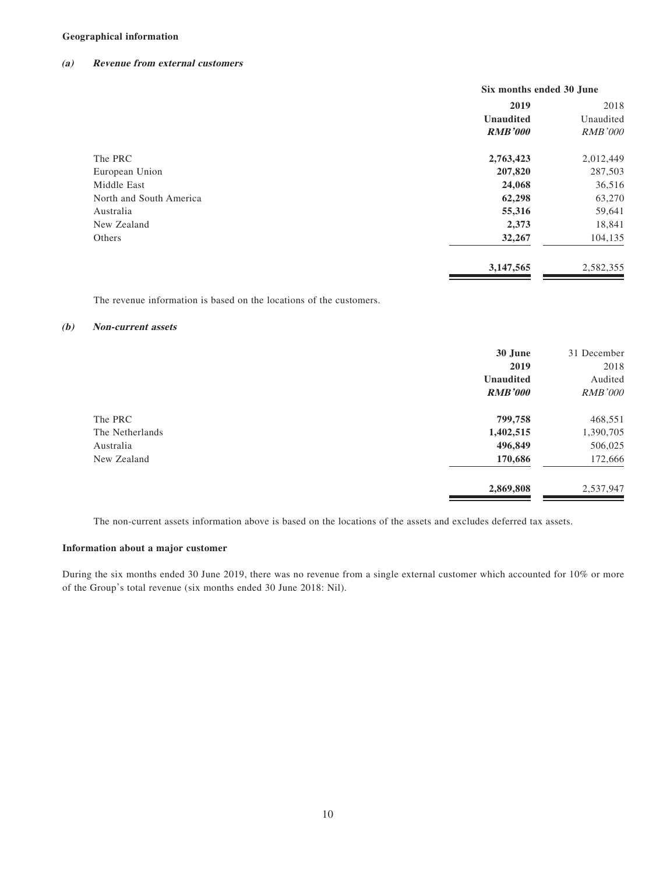### **Geographical information**

#### **(a) Revenue from external customers**

|                         | Six months ended 30 June |                |  |      |  |
|-------------------------|--------------------------|----------------|--|------|--|
|                         | 2019                     |                |  | 2018 |  |
|                         | <b>Unaudited</b>         | Unaudited      |  |      |  |
|                         | <b>RMB'000</b>           | <b>RMB'000</b> |  |      |  |
| The PRC                 | 2,763,423                | 2,012,449      |  |      |  |
| European Union          | 207,820                  | 287,503        |  |      |  |
| Middle East             | 24,068                   | 36,516         |  |      |  |
| North and South America | 62,298                   | 63,270         |  |      |  |
| Australia               | 55,316                   | 59,641         |  |      |  |
| New Zealand             | 2,373                    | 18,841         |  |      |  |
| Others                  | 32,267                   | 104,135        |  |      |  |
|                         | 3,147,565                | 2,582,355      |  |      |  |

The revenue information is based on the locations of the customers.

#### **(b) Non-current assets**

|                 | 30 June          | 31 December    |
|-----------------|------------------|----------------|
|                 | 2019             | 2018           |
|                 | <b>Unaudited</b> | Audited        |
|                 | <b>RMB'000</b>   | <b>RMB'000</b> |
| The PRC         | 799,758          | 468,551        |
| The Netherlands | 1,402,515        | 1,390,705      |
| Australia       | 496,849          | 506,025        |
| New Zealand     | 170,686          | 172,666        |
|                 | 2,869,808        | 2,537,947      |

The non-current assets information above is based on the locations of the assets and excludes deferred tax assets.

### **Information about a major customer**

During the six months ended 30 June 2019, there was no revenue from a single external customer which accounted for 10% or more of the Group's total revenue (six months ended 30 June 2018: Nil).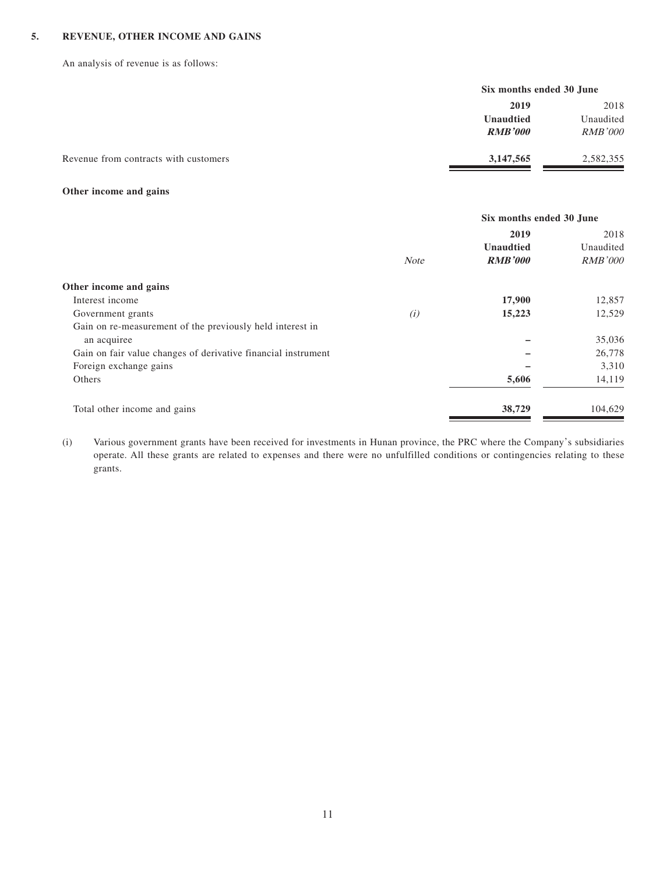### **5. REVENUE, OTHER INCOME AND GAINS**

An analysis of revenue is as follows:

|                                       |                  | Six months ended 30 June            |  |
|---------------------------------------|------------------|-------------------------------------|--|
|                                       | 2019             | 2018<br>Unaudited<br><i>RMB'000</i> |  |
|                                       | <b>Unaudtied</b> |                                     |  |
|                                       | <b>RMB'000</b>   |                                     |  |
| Revenue from contracts with customers | 3, 147, 565      | 2,582,355                           |  |

### **Other income and gains**

|                                                               |             | Six months ended 30 June |                |  |
|---------------------------------------------------------------|-------------|--------------------------|----------------|--|
|                                                               |             | 2019                     | 2018           |  |
|                                                               |             | <b>Unaudtied</b>         | Unaudited      |  |
|                                                               | <b>Note</b> | <b>RMB'000</b>           | <b>RMB'000</b> |  |
| Other income and gains                                        |             |                          |                |  |
| Interest income                                               |             | 17,900                   | 12,857         |  |
| Government grants                                             | (i)         | 15,223                   | 12,529         |  |
| Gain on re-measurement of the previously held interest in     |             |                          |                |  |
| an acquiree                                                   |             |                          | 35,036         |  |
| Gain on fair value changes of derivative financial instrument |             |                          | 26,778         |  |
| Foreign exchange gains                                        |             |                          | 3,310          |  |
| Others                                                        |             | 5,606                    | 14,119         |  |
| Total other income and gains                                  |             | 38,729                   | 104,629        |  |

(i) Various government grants have been received for investments in Hunan province, the PRC where the Company's subsidiaries operate. All these grants are related to expenses and there were no unfulfilled conditions or contingencies relating to these grants.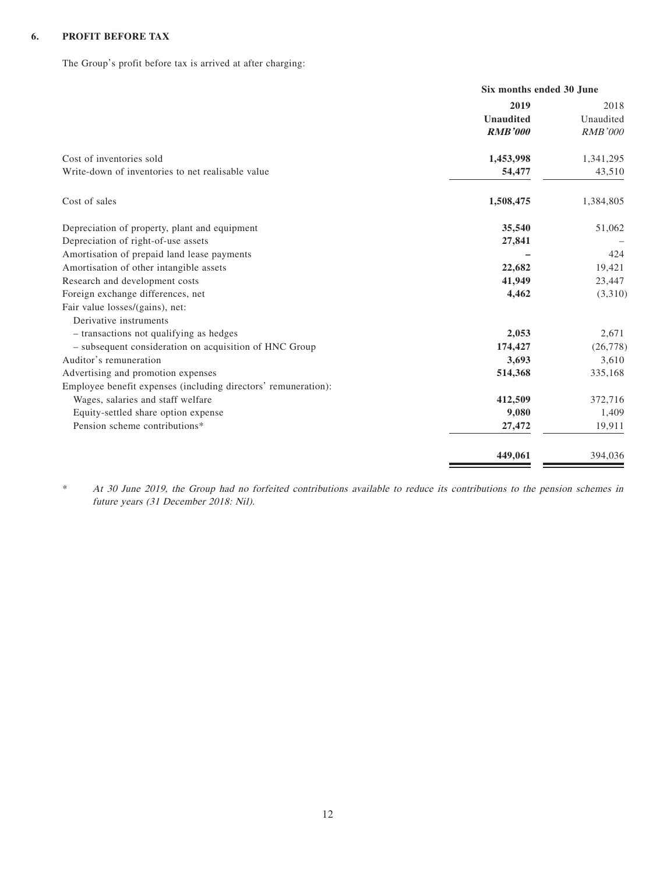### **6. PROFIT BEFORE TAX**

The Group's profit before tax is arrived at after charging:

|                                                                   | Six months ended 30 June |  |
|-------------------------------------------------------------------|--------------------------|--|
| 2019                                                              | 2018                     |  |
| <b>Unaudited</b>                                                  | Unaudited                |  |
| <b>RMB'000</b>                                                    | <b>RMB'000</b>           |  |
| Cost of inventories sold<br>1,453,998                             | 1,341,295                |  |
| Write-down of inventories to net realisable value<br>54,477       | 43,510                   |  |
| Cost of sales<br>1,508,475                                        | 1,384,805                |  |
| Depreciation of property, plant and equipment<br>35,540           | 51,062                   |  |
| Depreciation of right-of-use assets<br>27,841                     |                          |  |
| Amortisation of prepaid land lease payments                       | 424                      |  |
| Amortisation of other intangible assets<br>22,682                 | 19,421                   |  |
| Research and development costs<br>41,949                          | 23,447                   |  |
| 4,462<br>Foreign exchange differences, net                        | (3,310)                  |  |
| Fair value losses/(gains), net:                                   |                          |  |
| Derivative instruments                                            |                          |  |
| 2,053<br>- transactions not qualifying as hedges                  | 2,671                    |  |
| - subsequent consideration on acquisition of HNC Group<br>174,427 | (26, 778)                |  |
| Auditor's remuneration<br>3,693                                   | 3,610                    |  |
| Advertising and promotion expenses<br>514,368                     | 335,168                  |  |
| Employee benefit expenses (including directors' remuneration):    |                          |  |
| Wages, salaries and staff welfare<br>412,509                      | 372,716                  |  |
| 9,080<br>Equity-settled share option expense                      | 1,409                    |  |
| Pension scheme contributions*<br>27,472                           | 19,911                   |  |
| 449,061                                                           | 394,036                  |  |

\* At 30 June 2019, the Group had no forfeited contributions available to reduce its contributions to the pension schemes in future years (31 December 2018: Nil).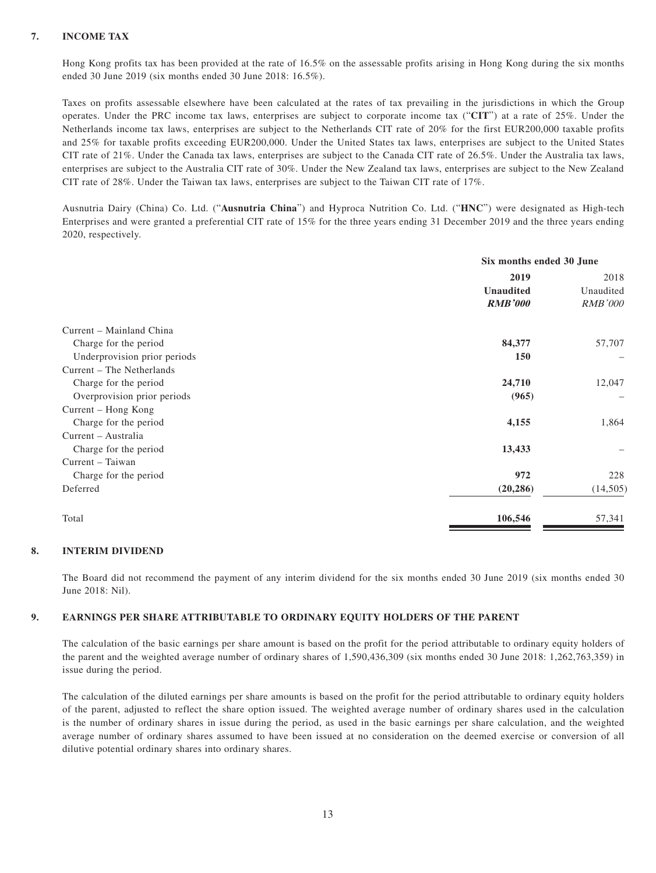### **7. INCOME TAX**

Hong Kong profits tax has been provided at the rate of 16.5% on the assessable profits arising in Hong Kong during the six months ended 30 June 2019 (six months ended 30 June 2018: 16.5%).

Taxes on profits assessable elsewhere have been calculated at the rates of tax prevailing in the jurisdictions in which the Group operates. Under the PRC income tax laws, enterprises are subject to corporate income tax ("**CIT**") at a rate of 25%. Under the Netherlands income tax laws, enterprises are subject to the Netherlands CIT rate of 20% for the first EUR200,000 taxable profits and 25% for taxable profits exceeding EUR200,000. Under the United States tax laws, enterprises are subject to the United States CIT rate of 21%. Under the Canada tax laws, enterprises are subject to the Canada CIT rate of 26.5%. Under the Australia tax laws, enterprises are subject to the Australia CIT rate of 30%. Under the New Zealand tax laws, enterprises are subject to the New Zealand CIT rate of 28%. Under the Taiwan tax laws, enterprises are subject to the Taiwan CIT rate of 17%.

Ausnutria Dairy (China) Co. Ltd. ("**Ausnutria China**") and Hyproca Nutrition Co. Ltd. ("**HNC**") were designated as High-tech Enterprises and were granted a preferential CIT rate of 15% for the three years ending 31 December 2019 and the three years ending 2020, respectively.

|                              | Six months ended 30 June |                |
|------------------------------|--------------------------|----------------|
|                              | 2019                     |                |
|                              | <b>Unaudited</b>         | Unaudited      |
|                              | <b>RMB'000</b>           | <b>RMB'000</b> |
| Current – Mainland China     |                          |                |
| Charge for the period        | 84,377                   | 57,707         |
| Underprovision prior periods | <b>150</b>               |                |
| Current – The Netherlands    |                          |                |
| Charge for the period        | 24,710                   | 12,047         |
| Overprovision prior periods  | (965)                    |                |
| Current – Hong Kong          |                          |                |
| Charge for the period        | 4,155                    | 1,864          |
| Current – Australia          |                          |                |
| Charge for the period        | 13,433                   |                |
| Current – Taiwan             |                          |                |
| Charge for the period        | 972                      | 228            |
| Deferred                     | (20, 286)                | (14,505)       |
| Total                        | 106,546                  | 57,341         |

#### **8. INTERIM DIVIDEND**

The Board did not recommend the payment of any interim dividend for the six months ended 30 June 2019 (six months ended 30 June 2018: Nil).

#### **9. EARNINGS PER SHARE ATTRIBUTABLE TO ORDINARY EQUITY HOLDERS OF THE PARENT**

The calculation of the basic earnings per share amount is based on the profit for the period attributable to ordinary equity holders of the parent and the weighted average number of ordinary shares of 1,590,436,309 (six months ended 30 June 2018: 1,262,763,359) in issue during the period.

The calculation of the diluted earnings per share amounts is based on the profit for the period attributable to ordinary equity holders of the parent, adjusted to reflect the share option issued. The weighted average number of ordinary shares used in the calculation is the number of ordinary shares in issue during the period, as used in the basic earnings per share calculation, and the weighted average number of ordinary shares assumed to have been issued at no consideration on the deemed exercise or conversion of all dilutive potential ordinary shares into ordinary shares.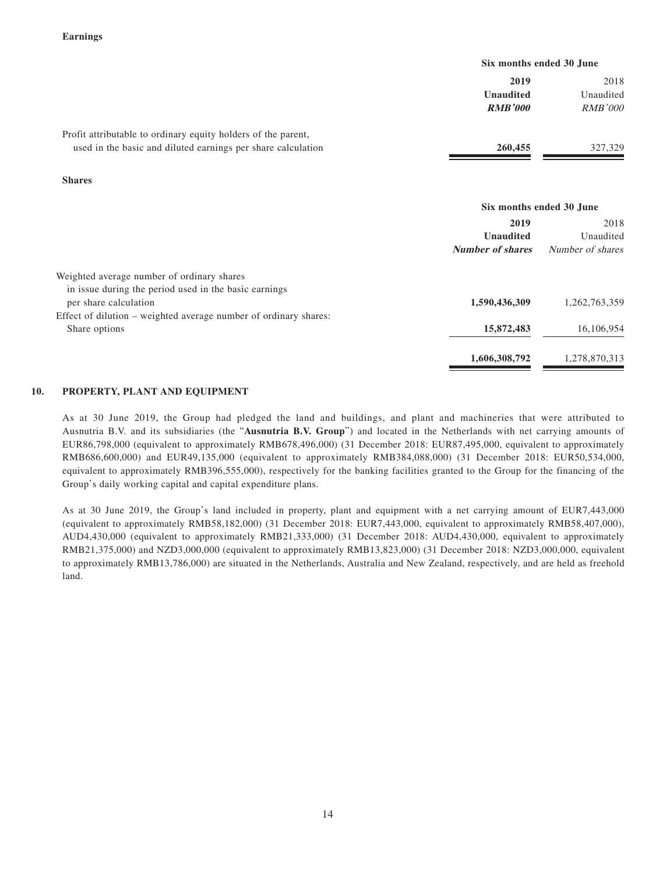|                                                               | Six months ended 30 June |                |
|---------------------------------------------------------------|--------------------------|----------------|
|                                                               | 2019                     | 2018           |
|                                                               | <b>Unaudited</b>         | Unaudited      |
|                                                               | <b>RMB'000</b>           | <i>RMB'000</i> |
| Profit attributable to ordinary equity holders of the parent, |                          |                |
| used in the basic and diluted earnings per share calculation  | 260,455                  | 327,329        |
|                                                               |                          |                |

**Shares**

|                                                                  | Six months ended 30 June |                  |  |
|------------------------------------------------------------------|--------------------------|------------------|--|
|                                                                  | 2019                     | 2018             |  |
|                                                                  | <b>Unaudited</b>         | Unaudited        |  |
|                                                                  | <b>Number of shares</b>  | Number of shares |  |
| Weighted average number of ordinary shares                       |                          |                  |  |
| in issue during the period used in the basic earnings            |                          |                  |  |
| per share calculation                                            | 1,590,436,309            | 1,262,763,359    |  |
| Effect of dilution – weighted average number of ordinary shares: |                          |                  |  |
| Share options                                                    | 15,872,483               | 16,106,954       |  |
|                                                                  | 1,606,308,792            | 1,278,870,313    |  |

### **10. PROPERTY, PLANT AND EQUIPMENT**

As at 30 June 2019, the Group had pledged the land and buildings, and plant and machineries that were attributed to Ausnutria B.V. and its subsidiaries (the "**Ausnutria B.V. Group**") and located in the Netherlands with net carrying amounts of EUR86,798,000 (equivalent to approximately RMB678,496,000) (31 December 2018: EUR87,495,000, equivalent to approximately RMB686,600,000) and EUR49,135,000 (equivalent to approximately RMB384,088,000) (31 December 2018: EUR50,534,000, equivalent to approximately RMB396,555,000), respectively for the banking facilities granted to the Group for the financing of the Group's daily working capital and capital expenditure plans.

As at 30 June 2019, the Group's land included in property, plant and equipment with a net carrying amount of EUR7,443,000 (equivalent to approximately RMB58,182,000) (31 December 2018: EUR7,443,000, equivalent to approximately RMB58,407,000), AUD4,430,000 (equivalent to approximately RMB21,333,000) (31 December 2018: AUD4,430,000, equivalent to approximately RMB21,375,000) and NZD3,000,000 (equivalent to approximately RMB13,823,000) (31 December 2018: NZD3,000,000, equivalent to approximately RMB13,786,000) are situated in the Netherlands, Australia and New Zealand, respectively, and are held as freehold land.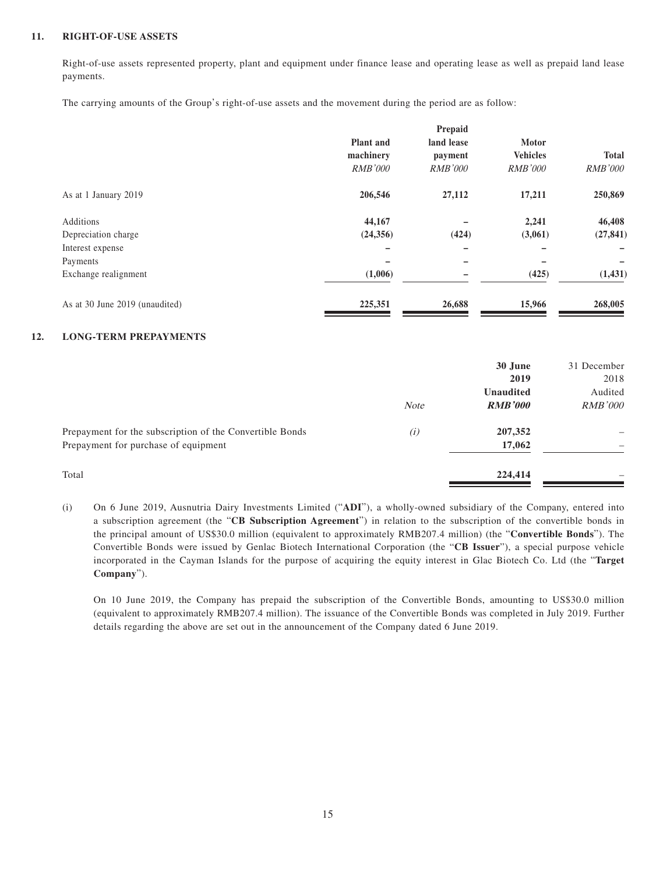### **11. RIGHT-OF-USE ASSETS**

Right-of-use assets represented property, plant and equipment under finance lease and operating lease as well as prepaid land lease payments.

The carrying amounts of the Group's right-of-use assets and the movement during the period are as follow:

|                                |                  | Prepaid        |                 |                |
|--------------------------------|------------------|----------------|-----------------|----------------|
|                                | <b>Plant</b> and | land lease     | Motor           |                |
|                                | machinery        | payment        | <b>Vehicles</b> | <b>Total</b>   |
|                                | <b>RMB'000</b>   | <b>RMB'000</b> | <i>RMB'000</i>  | <i>RMB'000</i> |
| As at 1 January 2019           | 206,546          | 27,112         | 17,211          | 250,869        |
| Additions                      | 44,167           |                | 2,241           | 46,408         |
| Depreciation charge            | (24, 356)        | (424)          | (3,061)         | (27, 841)      |
| Interest expense               |                  | -              |                 |                |
| Payments                       |                  |                |                 |                |
| Exchange realignment           | (1,006)          |                | (425)           | (1, 431)       |
| As at 30 June 2019 (unaudited) | 225,351          | 26,688         | 15,966          | 268,005        |

#### **12. LONG-TERM PREPAYMENTS**

|                                                                                                  | <b>Note</b> | 30 June<br>2019<br><b>Unaudited</b><br><b>RMB'000</b> | 31 December<br>2018<br>Audited<br><i>RMB'000</i> |
|--------------------------------------------------------------------------------------------------|-------------|-------------------------------------------------------|--------------------------------------------------|
| Prepayment for the subscription of the Convertible Bonds<br>Prepayment for purchase of equipment | (i)         | 207,352<br>17,062                                     |                                                  |
| Total                                                                                            |             | 224,414                                               |                                                  |

(i) On 6 June 2019, Ausnutria Dairy Investments Limited ("**ADI**"), a wholly-owned subsidiary of the Company, entered into a subscription agreement (the "**CB Subscription Agreement**") in relation to the subscription of the convertible bonds in the principal amount of US\$30.0 million (equivalent to approximately RMB207.4 million) (the "**Convertible Bonds**"). The Convertible Bonds were issued by Genlac Biotech International Corporation (the "**CB Issuer**"), a special purpose vehicle incorporated in the Cayman Islands for the purpose of acquiring the equity interest in Glac Biotech Co. Ltd (the "**Target Company**").

On 10 June 2019, the Company has prepaid the subscription of the Convertible Bonds, amounting to US\$30.0 million (equivalent to approximately RMB207.4 million). The issuance of the Convertible Bonds was completed in July 2019. Further details regarding the above are set out in the announcement of the Company dated 6 June 2019.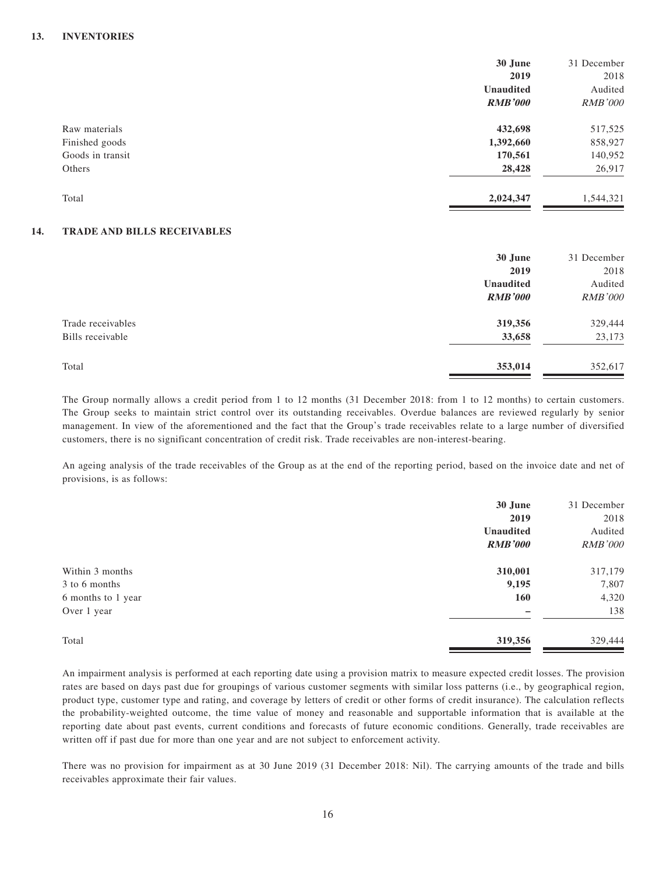#### **13. INVENTORIES**

|     |                             | 30 June          | 31 December    |
|-----|-----------------------------|------------------|----------------|
|     |                             | 2019             | 2018           |
|     |                             | <b>Unaudited</b> | Audited        |
|     |                             | <b>RMB'000</b>   | <b>RMB'000</b> |
|     | Raw materials               | 432,698          | 517,525        |
|     | Finished goods              | 1,392,660        | 858,927        |
|     | Goods in transit            | 170,561          | 140,952        |
|     | Others                      | 28,428           | 26,917         |
|     | Total                       | 2,024,347        | 1,544,321      |
| 14. | TRADE AND BILLS RECEIVABLES |                  |                |
|     |                             | 30 June          | 31 December    |
|     |                             |                  |                |

| <b>30 June</b> | 31 December    |
|----------------|----------------|
| 2019           | 2018           |
| Unaudited      | Audited        |
| <b>RMB'000</b> | <b>RMB'000</b> |
| 319,356        | 329,444        |
| 33,658         | 23,173         |
| 353,014        | 352,617        |
|                |                |

The Group normally allows a credit period from 1 to 12 months (31 December 2018: from 1 to 12 months) to certain customers. The Group seeks to maintain strict control over its outstanding receivables. Overdue balances are reviewed regularly by senior management. In view of the aforementioned and the fact that the Group's trade receivables relate to a large number of diversified customers, there is no significant concentration of credit risk. Trade receivables are non-interest-bearing.

An ageing analysis of the trade receivables of the Group as at the end of the reporting period, based on the invoice date and net of provisions, is as follows:

|                    | 30 June          | 31 December    |
|--------------------|------------------|----------------|
|                    | 2019             | 2018           |
|                    | <b>Unaudited</b> | Audited        |
|                    | <b>RMB'000</b>   | <b>RMB'000</b> |
| Within 3 months    | 310,001          | 317,179        |
| 3 to 6 months      | 9,195            | 7,807          |
| 6 months to 1 year | <b>160</b>       | 4,320          |
| Over 1 year        |                  | 138            |
| Total              | 319,356          | 329,444        |

An impairment analysis is performed at each reporting date using a provision matrix to measure expected credit losses. The provision rates are based on days past due for groupings of various customer segments with similar loss patterns (i.e., by geographical region, product type, customer type and rating, and coverage by letters of credit or other forms of credit insurance). The calculation reflects the probability-weighted outcome, the time value of money and reasonable and supportable information that is available at the reporting date about past events, current conditions and forecasts of future economic conditions. Generally, trade receivables are written off if past due for more than one year and are not subject to enforcement activity.

There was no provision for impairment as at 30 June 2019 (31 December 2018: Nil). The carrying amounts of the trade and bills receivables approximate their fair values.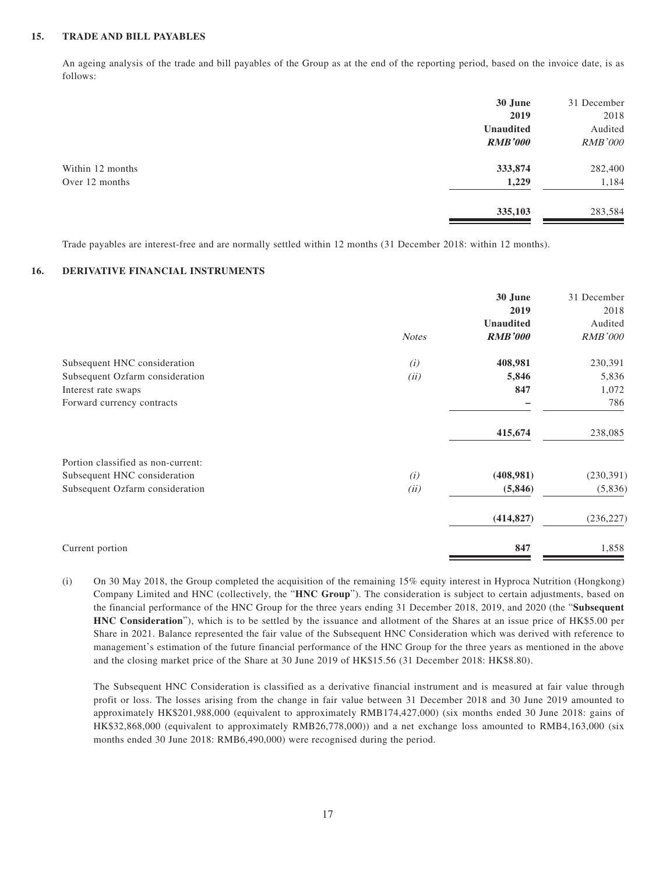#### **15. TRADE AND BILL PAYABLES**

An ageing analysis of the trade and bill payables of the Group as at the end of the reporting period, based on the invoice date, is as follows:

|                  | 30 June          | 31 December    |
|------------------|------------------|----------------|
|                  | 2019             | 2018           |
|                  | <b>Unaudited</b> | Audited        |
|                  | <b>RMB'000</b>   | <b>RMB'000</b> |
| Within 12 months | 333,874          | 282,400        |
| Over 12 months   | 1,229            | 1,184          |
|                  | 335,103          | 283,584        |

Trade payables are interest-free and are normally settled within 12 months (31 December 2018: within 12 months).

### **16. DERIVATIVE FINANCIAL INSTRUMENTS**

|                                    | <b>Notes</b> | 30 June<br>2019<br>Unaudited<br><b>RMB'000</b> | 31 December<br>2018<br>Audited<br><b>RMB'000</b> |
|------------------------------------|--------------|------------------------------------------------|--------------------------------------------------|
| Subsequent HNC consideration       | (i)          | 408,981                                        | 230,391                                          |
| Subsequent Ozfarm consideration    | (ii)         | 5,846                                          | 5,836                                            |
| Interest rate swaps                |              | 847                                            | 1,072                                            |
| Forward currency contracts         |              |                                                | 786                                              |
|                                    |              | 415,674                                        | 238,085                                          |
| Portion classified as non-current: |              |                                                |                                                  |
| Subsequent HNC consideration       | (i)          | (408,981)                                      | (230, 391)                                       |
| Subsequent Ozfarm consideration    | (ii)         | (5,846)                                        | (5,836)                                          |
|                                    |              | (414, 827)                                     | (236, 227)                                       |
| Current portion                    |              | 847                                            | 1,858                                            |

(i) On 30 May 2018, the Group completed the acquisition of the remaining 15% equity interest in Hyproca Nutrition (Hongkong) Company Limited and HNC (collectively, the "**HNC Group**"). The consideration is subject to certain adjustments, based on the financial performance of the HNC Group for the three years ending 31 December 2018, 2019, and 2020 (the "**Subsequent HNC Consideration**"), which is to be settled by the issuance and allotment of the Shares at an issue price of HK\$5.00 per Share in 2021. Balance represented the fair value of the Subsequent HNC Consideration which was derived with reference to management's estimation of the future financial performance of the HNC Group for the three years as mentioned in the above and the closing market price of the Share at 30 June 2019 of HK\$15.56 (31 December 2018: HK\$8.80).

The Subsequent HNC Consideration is classified as a derivative financial instrument and is measured at fair value through profit or loss. The losses arising from the change in fair value between 31 December 2018 and 30 June 2019 amounted to approximately HK\$201,988,000 (equivalent to approximately RMB174,427,000) (six months ended 30 June 2018: gains of HK\$32,868,000 (equivalent to approximately RMB26,778,000)) and a net exchange loss amounted to RMB4,163,000 (six months ended 30 June 2018: RMB6,490,000) were recognised during the period.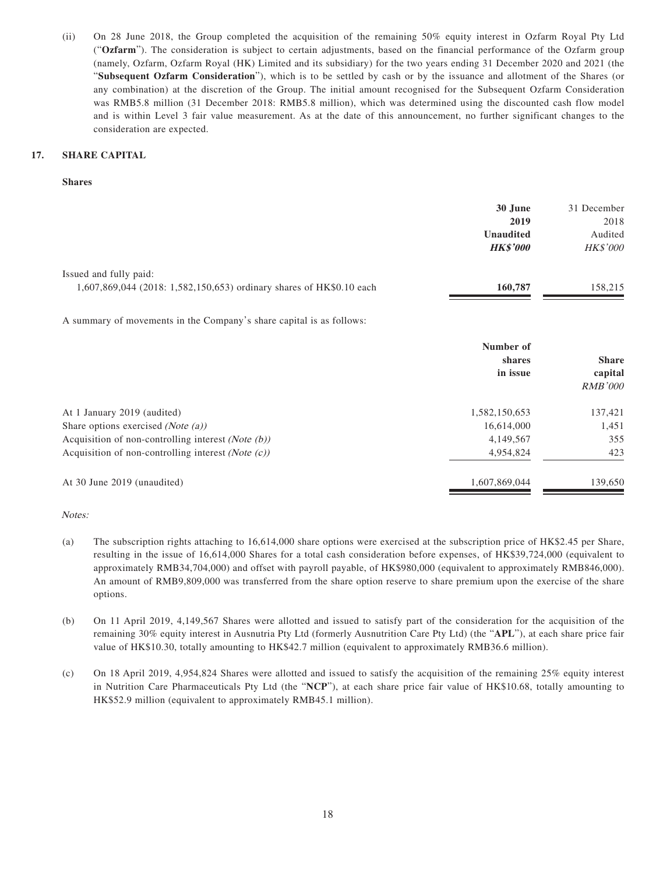(ii) On 28 June 2018, the Group completed the acquisition of the remaining 50% equity interest in Ozfarm Royal Pty Ltd ("**Ozfarm**"). The consideration is subject to certain adjustments, based on the financial performance of the Ozfarm group (namely, Ozfarm, Ozfarm Royal (HK) Limited and its subsidiary) for the two years ending 31 December 2020 and 2021 (the "**Subsequent Ozfarm Consideration**"), which is to be settled by cash or by the issuance and allotment of the Shares (or any combination) at the discretion of the Group. The initial amount recognised for the Subsequent Ozfarm Consideration was RMB5.8 million (31 December 2018: RMB5.8 million), which was determined using the discounted cash flow model and is within Level 3 fair value measurement. As at the date of this announcement, no further significant changes to the consideration are expected.

#### **17. SHARE CAPITAL**

#### **Shares**

|                                                                      | 30 June          | 31 December     |
|----------------------------------------------------------------------|------------------|-----------------|
|                                                                      | 2019             | 2018            |
|                                                                      | <b>Unaudited</b> | Audited         |
|                                                                      | <b>HK\$'000</b>  | <b>HK\$'000</b> |
| Issued and fully paid:                                               |                  |                 |
| 1,607,869,044 (2018: 1,582,150,653) ordinary shares of HK\$0.10 each | 160,787          | 158,215         |

A summary of movements in the Company's share capital is as follows:

|                                                               | Number of<br>shares<br>in issue | <b>Share</b><br>capital<br><b>RMB'000</b> |
|---------------------------------------------------------------|---------------------------------|-------------------------------------------|
| At 1 January 2019 (audited)                                   | 1,582,150,653                   | 137,421                                   |
| Share options exercised ( <i>Note (a)</i> )                   | 16,614,000                      | 1,451                                     |
| Acquisition of non-controlling interest ( <i>Note (b)</i> )   | 4,149,567                       | 355                                       |
| Acquisition of non-controlling interest ( <i>Note</i> $(c)$ ) | 4,954,824                       | 423                                       |
| At 30 June 2019 (unaudited)                                   | 1,607,869,044                   | 139,650                                   |

#### Notes:

- (a) The subscription rights attaching to 16,614,000 share options were exercised at the subscription price of HK\$2.45 per Share, resulting in the issue of 16,614,000 Shares for a total cash consideration before expenses, of HK\$39,724,000 (equivalent to approximately RMB34,704,000) and offset with payroll payable, of HK\$980,000 (equivalent to approximately RMB846,000). An amount of RMB9,809,000 was transferred from the share option reserve to share premium upon the exercise of the share options.
- (b) On 11 April 2019, 4,149,567 Shares were allotted and issued to satisfy part of the consideration for the acquisition of the remaining 30% equity interest in Ausnutria Pty Ltd (formerly Ausnutrition Care Pty Ltd) (the "**APL**"), at each share price fair value of HK\$10.30, totally amounting to HK\$42.7 million (equivalent to approximately RMB36.6 million).
- (c) On 18 April 2019, 4,954,824 Shares were allotted and issued to satisfy the acquisition of the remaining 25% equity interest in Nutrition Care Pharmaceuticals Pty Ltd (the "**NCP**"), at each share price fair value of HK\$10.68, totally amounting to HK\$52.9 million (equivalent to approximately RMB45.1 million).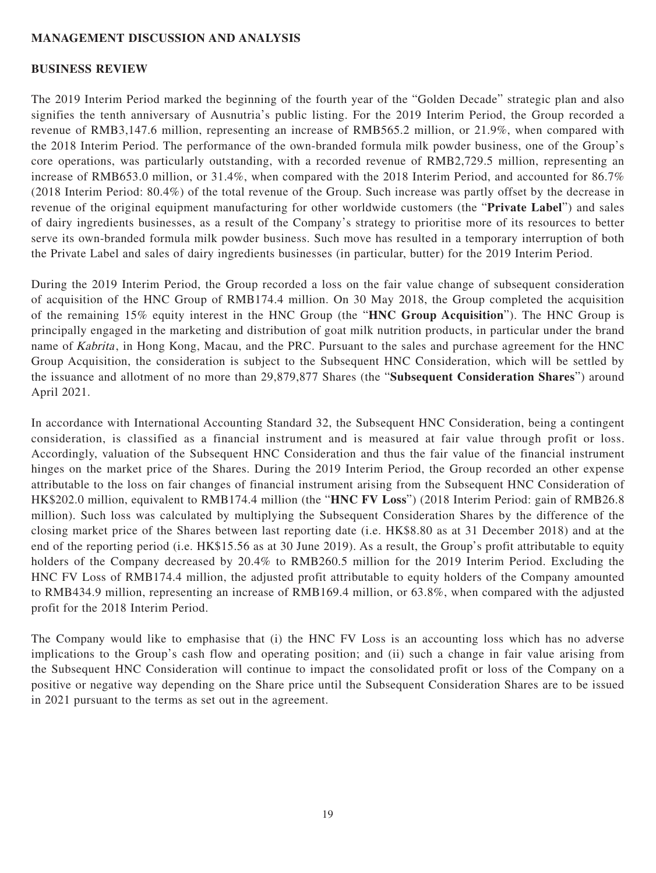# **MANAGEMENT DISCUSSION AND ANALYSIS**

### **BUSINESS REVIEW**

The 2019 Interim Period marked the beginning of the fourth year of the "Golden Decade" strategic plan and also signifies the tenth anniversary of Ausnutria's public listing. For the 2019 Interim Period, the Group recorded a revenue of RMB3,147.6 million, representing an increase of RMB565.2 million, or 21.9%, when compared with the 2018 Interim Period. The performance of the own-branded formula milk powder business, one of the Group's core operations, was particularly outstanding, with a recorded revenue of RMB2,729.5 million, representing an increase of RMB653.0 million, or 31.4%, when compared with the 2018 Interim Period, and accounted for 86.7% (2018 Interim Period: 80.4%) of the total revenue of the Group. Such increase was partly offset by the decrease in revenue of the original equipment manufacturing for other worldwide customers (the "**Private Label**") and sales of dairy ingredients businesses, as a result of the Company's strategy to prioritise more of its resources to better serve its own-branded formula milk powder business. Such move has resulted in a temporary interruption of both the Private Label and sales of dairy ingredients businesses (in particular, butter) for the 2019 Interim Period.

During the 2019 Interim Period, the Group recorded a loss on the fair value change of subsequent consideration of acquisition of the HNC Group of RMB174.4 million. On 30 May 2018, the Group completed the acquisition of the remaining 15% equity interest in the HNC Group (the "**HNC Group Acquisition**"). The HNC Group is principally engaged in the marketing and distribution of goat milk nutrition products, in particular under the brand name of Kabrita, in Hong Kong, Macau, and the PRC. Pursuant to the sales and purchase agreement for the HNC Group Acquisition, the consideration is subject to the Subsequent HNC Consideration, which will be settled by the issuance and allotment of no more than 29,879,877 Shares (the "**Subsequent Consideration Shares**") around April 2021.

In accordance with International Accounting Standard 32, the Subsequent HNC Consideration, being a contingent consideration, is classified as a financial instrument and is measured at fair value through profit or loss. Accordingly, valuation of the Subsequent HNC Consideration and thus the fair value of the financial instrument hinges on the market price of the Shares. During the 2019 Interim Period, the Group recorded an other expense attributable to the loss on fair changes of financial instrument arising from the Subsequent HNC Consideration of HK\$202.0 million, equivalent to RMB174.4 million (the "**HNC FV Loss**") (2018 Interim Period: gain of RMB26.8 million). Such loss was calculated by multiplying the Subsequent Consideration Shares by the difference of the closing market price of the Shares between last reporting date (i.e. HK\$8.80 as at 31 December 2018) and at the end of the reporting period (i.e. HK\$15.56 as at 30 June 2019). As a result, the Group's profit attributable to equity holders of the Company decreased by 20.4% to RMB260.5 million for the 2019 Interim Period. Excluding the HNC FV Loss of RMB174.4 million, the adjusted profit attributable to equity holders of the Company amounted to RMB434.9 million, representing an increase of RMB169.4 million, or 63.8%, when compared with the adjusted profit for the 2018 Interim Period.

The Company would like to emphasise that (i) the HNC FV Loss is an accounting loss which has no adverse implications to the Group's cash flow and operating position; and (ii) such a change in fair value arising from the Subsequent HNC Consideration will continue to impact the consolidated profit or loss of the Company on a positive or negative way depending on the Share price until the Subsequent Consideration Shares are to be issued in 2021 pursuant to the terms as set out in the agreement.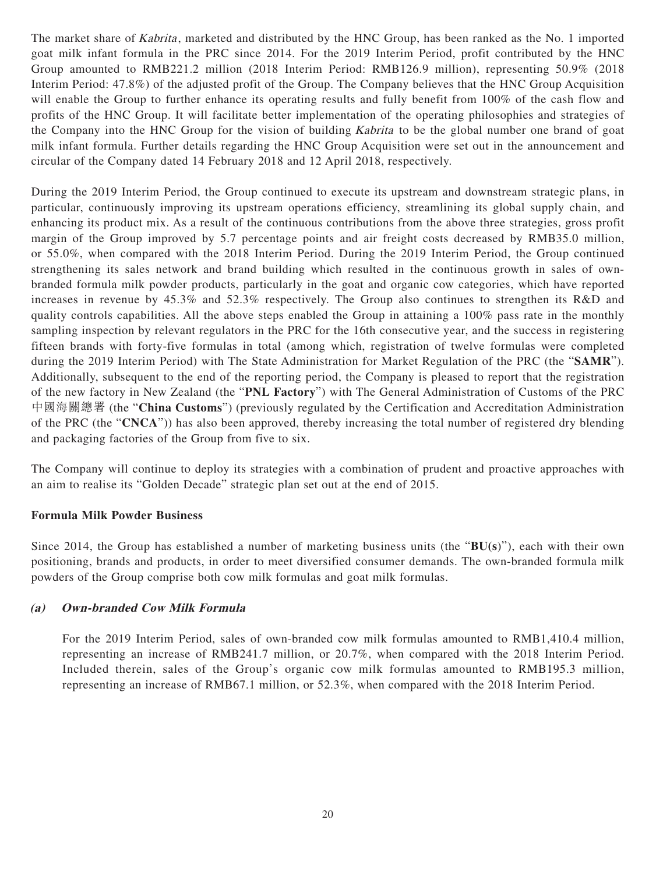The market share of *Kabrita*, marketed and distributed by the HNC Group, has been ranked as the No. 1 imported goat milk infant formula in the PRC since 2014. For the 2019 Interim Period, profit contributed by the HNC Group amounted to RMB221.2 million (2018 Interim Period: RMB126.9 million), representing 50.9% (2018 Interim Period: 47.8%) of the adjusted profit of the Group. The Company believes that the HNC Group Acquisition will enable the Group to further enhance its operating results and fully benefit from 100% of the cash flow and profits of the HNC Group. It will facilitate better implementation of the operating philosophies and strategies of the Company into the HNC Group for the vision of building Kabrita to be the global number one brand of goat milk infant formula. Further details regarding the HNC Group Acquisition were set out in the announcement and circular of the Company dated 14 February 2018 and 12 April 2018, respectively.

During the 2019 Interim Period, the Group continued to execute its upstream and downstream strategic plans, in particular, continuously improving its upstream operations efficiency, streamlining its global supply chain, and enhancing its product mix. As a result of the continuous contributions from the above three strategies, gross profit margin of the Group improved by 5.7 percentage points and air freight costs decreased by RMB35.0 million, or 55.0%, when compared with the 2018 Interim Period. During the 2019 Interim Period, the Group continued strengthening its sales network and brand building which resulted in the continuous growth in sales of ownbranded formula milk powder products, particularly in the goat and organic cow categories, which have reported increases in revenue by 45.3% and 52.3% respectively. The Group also continues to strengthen its R&D and quality controls capabilities. All the above steps enabled the Group in attaining a 100% pass rate in the monthly sampling inspection by relevant regulators in the PRC for the 16th consecutive year, and the success in registering fifteen brands with forty-five formulas in total (among which, registration of twelve formulas were completed during the 2019 Interim Period) with The State Administration for Market Regulation of the PRC (the "**SAMR**"). Additionally, subsequent to the end of the reporting period, the Company is pleased to report that the registration of the new factory in New Zealand (the "**PNL Factory**") with The General Administration of Customs of the PRC 中國海關總署 (the "**China Customs**") (previously regulated by the Certification and Accreditation Administration of the PRC (the "**CNCA**")) has also been approved, thereby increasing the total number of registered dry blending and packaging factories of the Group from five to six.

The Company will continue to deploy its strategies with a combination of prudent and proactive approaches with an aim to realise its "Golden Decade" strategic plan set out at the end of 2015.

# **Formula Milk Powder Business**

Since 2014, the Group has established a number of marketing business units (the "**BU(s**)"), each with their own positioning, brands and products, in order to meet diversified consumer demands. The own-branded formula milk powders of the Group comprise both cow milk formulas and goat milk formulas.

# **(a) Own-branded Cow Milk Formula**

For the 2019 Interim Period, sales of own-branded cow milk formulas amounted to RMB1,410.4 million, representing an increase of RMB241.7 million, or 20.7%, when compared with the 2018 Interim Period. Included therein, sales of the Group's organic cow milk formulas amounted to RMB195.3 million, representing an increase of RMB67.1 million, or 52.3%, when compared with the 2018 Interim Period.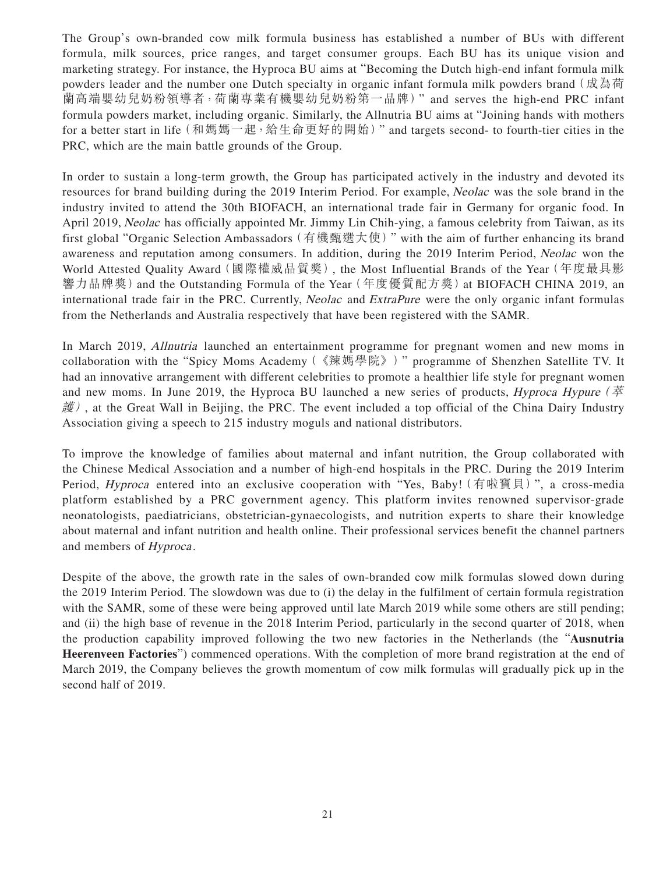The Group's own-branded cow milk formula business has established a number of BUs with different formula, milk sources, price ranges, and target consumer groups. Each BU has its unique vision and marketing strategy. For instance, the Hyproca BU aims at "Becoming the Dutch high-end infant formula milk powders leader and the number one Dutch specialty in organic infant formula milk powders brand (成為荷 蘭高端嬰幼兒奶粉領導者,荷蘭專業有機嬰幼兒奶粉第一品牌)" and serves the high-end PRC infant formula powders market, including organic. Similarly, the Allnutria BU aims at "Joining hands with mothers for a better start in life (和媽媽一起,給生命更好的開始)" and targets second- to fourth-tier cities in the PRC, which are the main battle grounds of the Group.

In order to sustain a long-term growth, the Group has participated actively in the industry and devoted its resources for brand building during the 2019 Interim Period. For example, Neolac was the sole brand in the industry invited to attend the 30th BIOFACH, an international trade fair in Germany for organic food. In April 2019, Neolac has officially appointed Mr. Jimmy Lin Chih-ying, a famous celebrity from Taiwan, as its first global "Organic Selection Ambassadors(有機甄選大使)" with the aim of further enhancing its brand awareness and reputation among consumers. In addition, during the 2019 Interim Period, Neolac won the World Attested Quality Award(國際權威品質獎), the Most Influential Brands of the Year(年度最具影 響力品牌獎)and the Outstanding Formula of the Year(年度優質配方獎)at BIOFACH CHINA 2019, an international trade fair in the PRC. Currently, *Neolac* and *ExtraPure* were the only organic infant formulas from the Netherlands and Australia respectively that have been registered with the SAMR.

In March 2019, Allnutria launched an entertainment programme for pregnant women and new moms in collaboration with the "Spicy Moms Academy(《辣媽學院》)" programme of Shenzhen Satellite TV. It had an innovative arrangement with different celebrities to promote a healthier life style for pregnant women and new moms. In June 2019, the Hyproca BU launched a new series of products, *Hyproca Hypure* ( $\ddot{\mathcal{Z}}$ )  $\mathcal{H}$ ), at the Great Wall in Beijing, the PRC. The event included a top official of the China Dairy Industry Association giving a speech to 215 industry moguls and national distributors.

To improve the knowledge of families about maternal and infant nutrition, the Group collaborated with the Chinese Medical Association and a number of high-end hospitals in the PRC. During the 2019 Interim Period, *Hyproca* entered into an exclusive cooperation with "Yes, Baby! (有啦寶貝)", a cross-media platform established by a PRC government agency. This platform invites renowned supervisor-grade neonatologists, paediatricians, obstetrician-gynaecologists, and nutrition experts to share their knowledge about maternal and infant nutrition and health online. Their professional services benefit the channel partners and members of Hyproca .

Despite of the above, the growth rate in the sales of own-branded cow milk formulas slowed down during the 2019 Interim Period. The slowdown was due to (i) the delay in the fulfilment of certain formula registration with the SAMR, some of these were being approved until late March 2019 while some others are still pending; and (ii) the high base of revenue in the 2018 Interim Period, particularly in the second quarter of 2018, when the production capability improved following the two new factories in the Netherlands (the "**Ausnutria Heerenveen Factories**") commenced operations. With the completion of more brand registration at the end of March 2019, the Company believes the growth momentum of cow milk formulas will gradually pick up in the second half of 2019.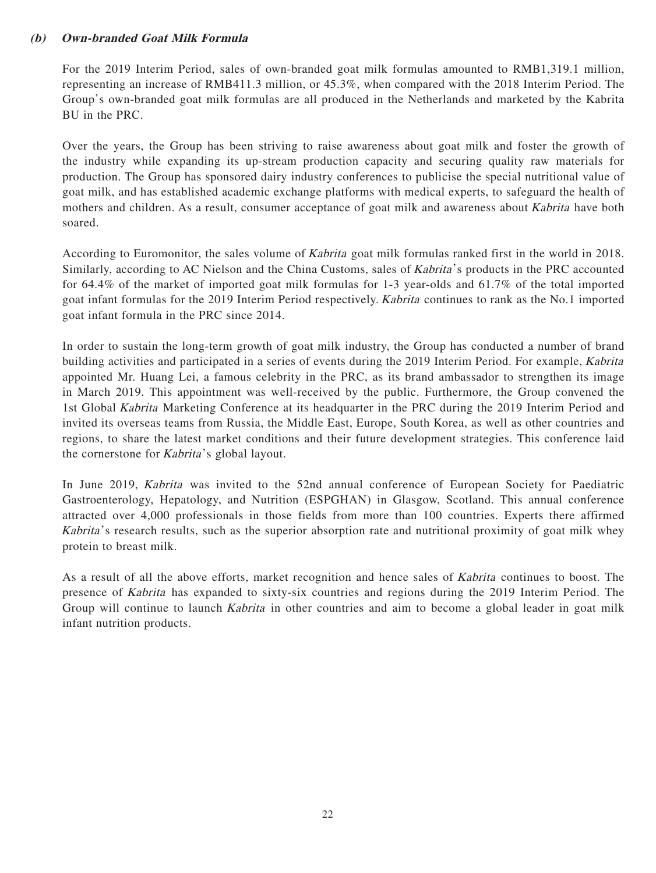# **(b) Own-branded Goat Milk Formula**

For the 2019 Interim Period, sales of own-branded goat milk formulas amounted to RMB1,319.1 million, representing an increase of RMB411.3 million, or 45.3%, when compared with the 2018 Interim Period. The Group's own-branded goat milk formulas are all produced in the Netherlands and marketed by the Kabrita BU in the PRC.

Over the years, the Group has been striving to raise awareness about goat milk and foster the growth of the industry while expanding its up-stream production capacity and securing quality raw materials for production. The Group has sponsored dairy industry conferences to publicise the special nutritional value of goat milk, and has established academic exchange platforms with medical experts, to safeguard the health of mothers and children. As a result, consumer acceptance of goat milk and awareness about Kabrita have both soared.

According to Euromonitor, the sales volume of Kabrita goat milk formulas ranked first in the world in 2018. Similarly, according to AC Nielson and the China Customs, sales of Kabrita's products in the PRC accounted for 64.4% of the market of imported goat milk formulas for 1-3 year-olds and 61.7% of the total imported goat infant formulas for the 2019 Interim Period respectively. Kabrita continues to rank as the No.1 imported goat infant formula in the PRC since 2014.

In order to sustain the long-term growth of goat milk industry, the Group has conducted a number of brand building activities and participated in a series of events during the 2019 Interim Period. For example, Kabrita appointed Mr. Huang Lei, a famous celebrity in the PRC, as its brand ambassador to strengthen its image in March 2019. This appointment was well-received by the public. Furthermore, the Group convened the 1st Global Kabrita Marketing Conference at its headquarter in the PRC during the 2019 Interim Period and invited its overseas teams from Russia, the Middle East, Europe, South Korea, as well as other countries and regions, to share the latest market conditions and their future development strategies. This conference laid the cornerstone for *Kabrita*'s global layout.

In June 2019, Kabrita was invited to the 52nd annual conference of European Society for Paediatric Gastroenterology, Hepatology, and Nutrition (ESPGHAN) in Glasgow, Scotland. This annual conference attracted over 4,000 professionals in those fields from more than 100 countries. Experts there affirmed Kabrita 's research results, such as the superior absorption rate and nutritional proximity of goat milk whey protein to breast milk.

As a result of all the above efforts, market recognition and hence sales of *Kabrita* continues to boost. The presence of Kabrita has expanded to sixty-six countries and regions during the 2019 Interim Period. The Group will continue to launch *Kabrita* in other countries and aim to become a global leader in goat milk infant nutrition products.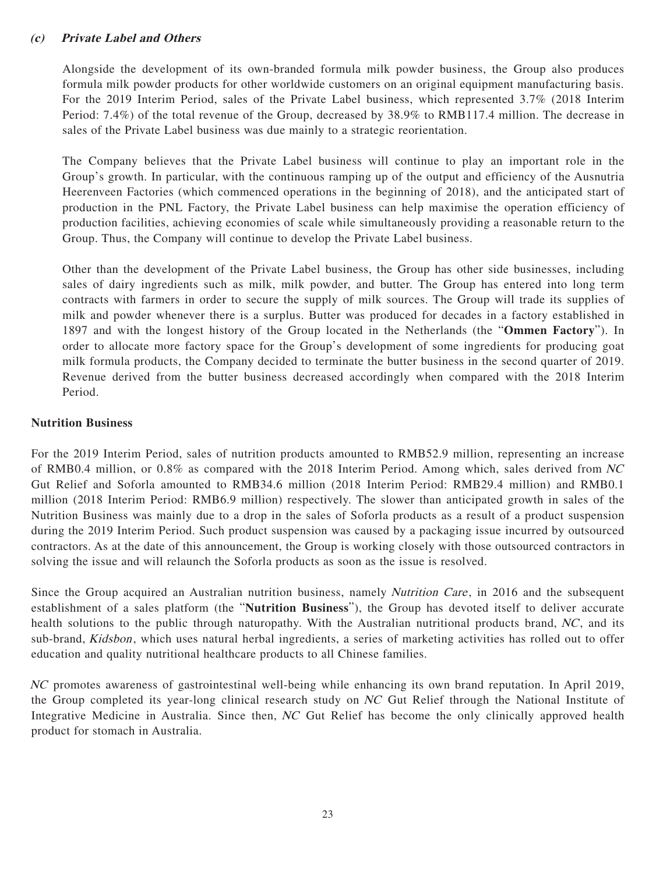# **(c) Private Label and Others**

Alongside the development of its own-branded formula milk powder business, the Group also produces formula milk powder products for other worldwide customers on an original equipment manufacturing basis. For the 2019 Interim Period, sales of the Private Label business, which represented 3.7% (2018 Interim Period: 7.4%) of the total revenue of the Group, decreased by 38.9% to RMB117.4 million. The decrease in sales of the Private Label business was due mainly to a strategic reorientation.

The Company believes that the Private Label business will continue to play an important role in the Group's growth. In particular, with the continuous ramping up of the output and efficiency of the Ausnutria Heerenveen Factories (which commenced operations in the beginning of 2018), and the anticipated start of production in the PNL Factory, the Private Label business can help maximise the operation efficiency of production facilities, achieving economies of scale while simultaneously providing a reasonable return to the Group. Thus, the Company will continue to develop the Private Label business.

Other than the development of the Private Label business, the Group has other side businesses, including sales of dairy ingredients such as milk, milk powder, and butter. The Group has entered into long term contracts with farmers in order to secure the supply of milk sources. The Group will trade its supplies of milk and powder whenever there is a surplus. Butter was produced for decades in a factory established in 1897 and with the longest history of the Group located in the Netherlands (the "**Ommen Factory**"). In order to allocate more factory space for the Group's development of some ingredients for producing goat milk formula products, the Company decided to terminate the butter business in the second quarter of 2019. Revenue derived from the butter business decreased accordingly when compared with the 2018 Interim Period.

# **Nutrition Business**

For the 2019 Interim Period, sales of nutrition products amounted to RMB52.9 million, representing an increase of RMB0.4 million, or 0.8% as compared with the 2018 Interim Period. Among which, sales derived from NC Gut Relief and Soforla amounted to RMB34.6 million (2018 Interim Period: RMB29.4 million) and RMB0.1 million (2018 Interim Period: RMB6.9 million) respectively. The slower than anticipated growth in sales of the Nutrition Business was mainly due to a drop in the sales of Soforla products as a result of a product suspension during the 2019 Interim Period. Such product suspension was caused by a packaging issue incurred by outsourced contractors. As at the date of this announcement, the Group is working closely with those outsourced contractors in solving the issue and will relaunch the Soforla products as soon as the issue is resolved.

Since the Group acquired an Australian nutrition business, namely *Nutrition Care*, in 2016 and the subsequent establishment of a sales platform (the "**Nutrition Business**"), the Group has devoted itself to deliver accurate health solutions to the public through naturopathy. With the Australian nutritional products brand, NC, and its sub-brand, Kidsbon, which uses natural herbal ingredients, a series of marketing activities has rolled out to offer education and quality nutritional healthcare products to all Chinese families.

NC promotes awareness of gastrointestinal well-being while enhancing its own brand reputation. In April 2019, the Group completed its year-long clinical research study on NC Gut Relief through the National Institute of Integrative Medicine in Australia. Since then, NC Gut Relief has become the only clinically approved health product for stomach in Australia.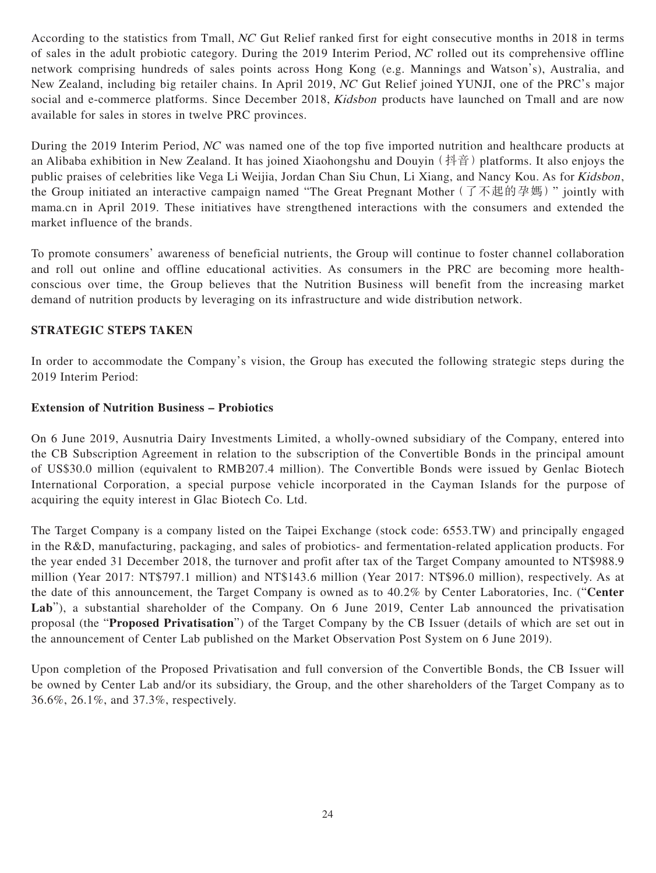According to the statistics from Tmall, NC Gut Relief ranked first for eight consecutive months in 2018 in terms of sales in the adult probiotic category. During the 2019 Interim Period, NC rolled out its comprehensive offline network comprising hundreds of sales points across Hong Kong (e.g. Mannings and Watson's), Australia, and New Zealand, including big retailer chains. In April 2019, NC Gut Relief joined YUNJI, one of the PRC's major social and e-commerce platforms. Since December 2018, *Kidsbon* products have launched on Tmall and are now available for sales in stores in twelve PRC provinces.

During the 2019 Interim Period, NC was named one of the top five imported nutrition and healthcare products at an Alibaba exhibition in New Zealand. It has joined Xiaohongshu and Douyin (抖音) platforms. It also enjoys the public praises of celebrities like Vega Li Weijia, Jordan Chan Siu Chun, Li Xiang, and Nancy Kou. As for Kidsbon, the Group initiated an interactive campaign named "The Great Pregnant Mother (了不起的孕媽)" jointly with mama.cn in April 2019. These initiatives have strengthened interactions with the consumers and extended the market influence of the brands.

To promote consumers' awareness of beneficial nutrients, the Group will continue to foster channel collaboration and roll out online and offline educational activities. As consumers in the PRC are becoming more healthconscious over time, the Group believes that the Nutrition Business will benefit from the increasing market demand of nutrition products by leveraging on its infrastructure and wide distribution network.

# **STRATEGIC STEPS TAKEN**

In order to accommodate the Company's vision, the Group has executed the following strategic steps during the 2019 Interim Period:

# **Extension of Nutrition Business – Probiotics**

On 6 June 2019, Ausnutria Dairy Investments Limited, a wholly-owned subsidiary of the Company, entered into the CB Subscription Agreement in relation to the subscription of the Convertible Bonds in the principal amount of US\$30.0 million (equivalent to RMB207.4 million). The Convertible Bonds were issued by Genlac Biotech International Corporation, a special purpose vehicle incorporated in the Cayman Islands for the purpose of acquiring the equity interest in Glac Biotech Co. Ltd.

The Target Company is a company listed on the Taipei Exchange (stock code: 6553.TW) and principally engaged in the R&D, manufacturing, packaging, and sales of probiotics- and fermentation-related application products. For the year ended 31 December 2018, the turnover and profit after tax of the Target Company amounted to NT\$988.9 million (Year 2017: NT\$797.1 million) and NT\$143.6 million (Year 2017: NT\$96.0 million), respectively. As at the date of this announcement, the Target Company is owned as to 40.2% by Center Laboratories, Inc. ("**Center**  Lab"), a substantial shareholder of the Company. On 6 June 2019, Center Lab announced the privatisation proposal (the "**Proposed Privatisation**") of the Target Company by the CB Issuer (details of which are set out in the announcement of Center Lab published on the Market Observation Post System on 6 June 2019).

Upon completion of the Proposed Privatisation and full conversion of the Convertible Bonds, the CB Issuer will be owned by Center Lab and/or its subsidiary, the Group, and the other shareholders of the Target Company as to 36.6%, 26.1%, and 37.3%, respectively.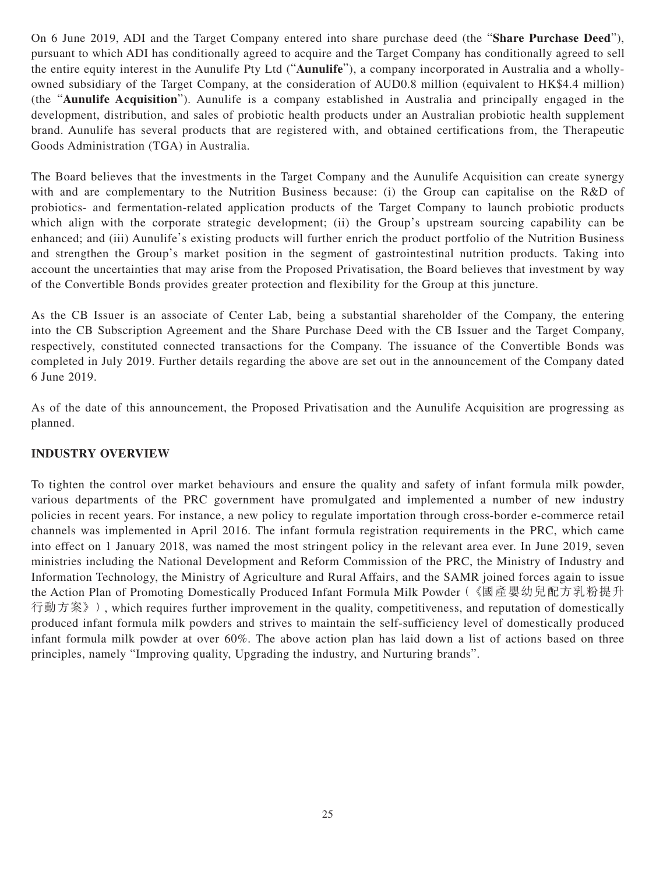On 6 June 2019, ADI and the Target Company entered into share purchase deed (the "**Share Purchase Deed**"), pursuant to which ADI has conditionally agreed to acquire and the Target Company has conditionally agreed to sell the entire equity interest in the Aunulife Pty Ltd ("**Aunulife**"), a company incorporated in Australia and a whollyowned subsidiary of the Target Company, at the consideration of AUD0.8 million (equivalent to HK\$4.4 million) (the "**Aunulife Acquisition**"). Aunulife is a company established in Australia and principally engaged in the development, distribution, and sales of probiotic health products under an Australian probiotic health supplement brand. Aunulife has several products that are registered with, and obtained certifications from, the Therapeutic Goods Administration (TGA) in Australia.

The Board believes that the investments in the Target Company and the Aunulife Acquisition can create synergy with and are complementary to the Nutrition Business because: (i) the Group can capitalise on the R&D of probiotics- and fermentation-related application products of the Target Company to launch probiotic products which align with the corporate strategic development; (ii) the Group's upstream sourcing capability can be enhanced; and (iii) Aunulife's existing products will further enrich the product portfolio of the Nutrition Business and strengthen the Group's market position in the segment of gastrointestinal nutrition products. Taking into account the uncertainties that may arise from the Proposed Privatisation, the Board believes that investment by way of the Convertible Bonds provides greater protection and flexibility for the Group at this juncture.

As the CB Issuer is an associate of Center Lab, being a substantial shareholder of the Company, the entering into the CB Subscription Agreement and the Share Purchase Deed with the CB Issuer and the Target Company, respectively, constituted connected transactions for the Company. The issuance of the Convertible Bonds was completed in July 2019. Further details regarding the above are set out in the announcement of the Company dated 6 June 2019.

As of the date of this announcement, the Proposed Privatisation and the Aunulife Acquisition are progressing as planned.

# **INDUSTRY OVERVIEW**

To tighten the control over market behaviours and ensure the quality and safety of infant formula milk powder, various departments of the PRC government have promulgated and implemented a number of new industry policies in recent years. For instance, a new policy to regulate importation through cross-border e-commerce retail channels was implemented in April 2016. The infant formula registration requirements in the PRC, which came into effect on 1 January 2018, was named the most stringent policy in the relevant area ever. In June 2019, seven ministries including the National Development and Reform Commission of the PRC, the Ministry of Industry and Information Technology, the Ministry of Agriculture and Rural Affairs, and the SAMR joined forces again to issue the Action Plan of Promoting Domestically Produced Infant Formula Milk Powder(《國產嬰幼兒配方乳粉提升 行動方案》), which requires further improvement in the quality, competitiveness, and reputation of domestically produced infant formula milk powders and strives to maintain the self-sufficiency level of domestically produced infant formula milk powder at over 60%. The above action plan has laid down a list of actions based on three principles, namely "Improving quality, Upgrading the industry, and Nurturing brands".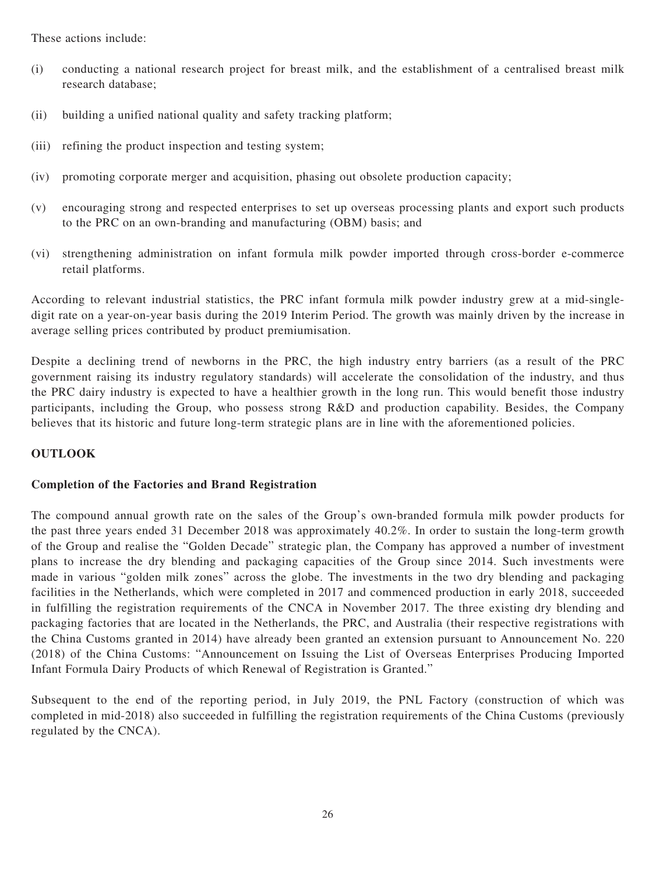These actions include:

- (i) conducting a national research project for breast milk, and the establishment of a centralised breast milk research database;
- (ii) building a unified national quality and safety tracking platform;
- (iii) refining the product inspection and testing system;
- (iv) promoting corporate merger and acquisition, phasing out obsolete production capacity;
- (v) encouraging strong and respected enterprises to set up overseas processing plants and export such products to the PRC on an own-branding and manufacturing (OBM) basis; and
- (vi) strengthening administration on infant formula milk powder imported through cross-border e-commerce retail platforms.

According to relevant industrial statistics, the PRC infant formula milk powder industry grew at a mid-singledigit rate on a year-on-year basis during the 2019 Interim Period. The growth was mainly driven by the increase in average selling prices contributed by product premiumisation.

Despite a declining trend of newborns in the PRC, the high industry entry barriers (as a result of the PRC government raising its industry regulatory standards) will accelerate the consolidation of the industry, and thus the PRC dairy industry is expected to have a healthier growth in the long run. This would benefit those industry participants, including the Group, who possess strong R&D and production capability. Besides, the Company believes that its historic and future long-term strategic plans are in line with the aforementioned policies.

# **OUTLOOK**

# **Completion of the Factories and Brand Registration**

The compound annual growth rate on the sales of the Group's own-branded formula milk powder products for the past three years ended 31 December 2018 was approximately 40.2%. In order to sustain the long-term growth of the Group and realise the "Golden Decade" strategic plan, the Company has approved a number of investment plans to increase the dry blending and packaging capacities of the Group since 2014. Such investments were made in various "golden milk zones" across the globe. The investments in the two dry blending and packaging facilities in the Netherlands, which were completed in 2017 and commenced production in early 2018, succeeded in fulfilling the registration requirements of the CNCA in November 2017. The three existing dry blending and packaging factories that are located in the Netherlands, the PRC, and Australia (their respective registrations with the China Customs granted in 2014) have already been granted an extension pursuant to Announcement No. 220 (2018) of the China Customs: "Announcement on Issuing the List of Overseas Enterprises Producing Imported Infant Formula Dairy Products of which Renewal of Registration is Granted."

Subsequent to the end of the reporting period, in July 2019, the PNL Factory (construction of which was completed in mid-2018) also succeeded in fulfilling the registration requirements of the China Customs (previously regulated by the CNCA).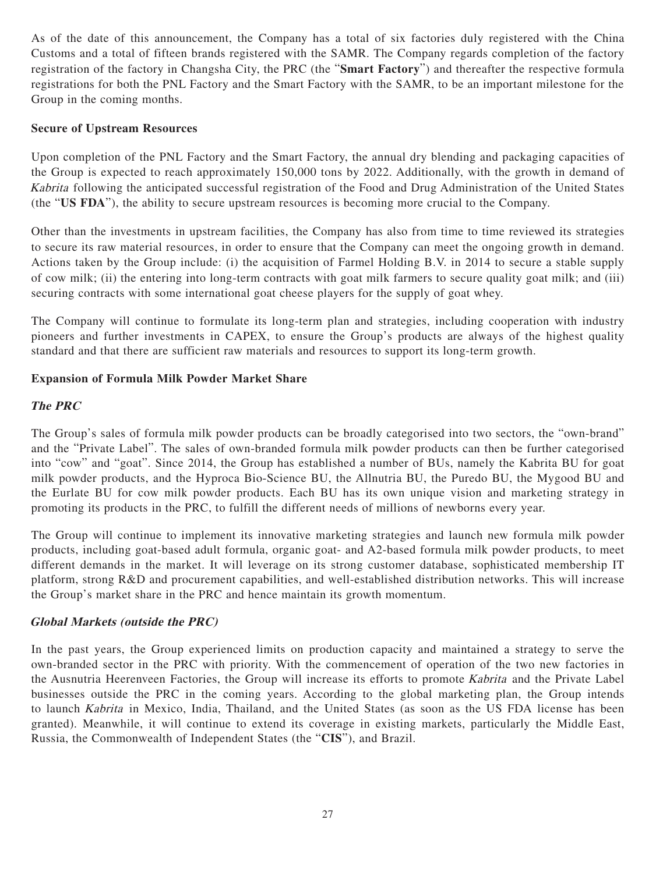As of the date of this announcement, the Company has a total of six factories duly registered with the China Customs and a total of fifteen brands registered with the SAMR. The Company regards completion of the factory registration of the factory in Changsha City, the PRC (the "**Smart Factory**") and thereafter the respective formula registrations for both the PNL Factory and the Smart Factory with the SAMR, to be an important milestone for the Group in the coming months.

# **Secure of Upstream Resources**

Upon completion of the PNL Factory and the Smart Factory, the annual dry blending and packaging capacities of the Group is expected to reach approximately 150,000 tons by 2022. Additionally, with the growth in demand of Kabrita following the anticipated successful registration of the Food and Drug Administration of the United States (the "**US FDA**"), the ability to secure upstream resources is becoming more crucial to the Company.

Other than the investments in upstream facilities, the Company has also from time to time reviewed its strategies to secure its raw material resources, in order to ensure that the Company can meet the ongoing growth in demand. Actions taken by the Group include: (i) the acquisition of Farmel Holding B.V. in 2014 to secure a stable supply of cow milk; (ii) the entering into long-term contracts with goat milk farmers to secure quality goat milk; and (iii) securing contracts with some international goat cheese players for the supply of goat whey.

The Company will continue to formulate its long-term plan and strategies, including cooperation with industry pioneers and further investments in CAPEX, to ensure the Group's products are always of the highest quality standard and that there are sufficient raw materials and resources to support its long-term growth.

# **Expansion of Formula Milk Powder Market Share**

# **The PRC**

The Group's sales of formula milk powder products can be broadly categorised into two sectors, the "own-brand" and the "Private Label". The sales of own-branded formula milk powder products can then be further categorised into "cow" and "goat". Since 2014, the Group has established a number of BUs, namely the Kabrita BU for goat milk powder products, and the Hyproca Bio-Science BU, the Allnutria BU, the Puredo BU, the Mygood BU and the Eurlate BU for cow milk powder products. Each BU has its own unique vision and marketing strategy in promoting its products in the PRC, to fulfill the different needs of millions of newborns every year.

The Group will continue to implement its innovative marketing strategies and launch new formula milk powder products, including goat-based adult formula, organic goat- and A2-based formula milk powder products, to meet different demands in the market. It will leverage on its strong customer database, sophisticated membership IT platform, strong R&D and procurement capabilities, and well-established distribution networks. This will increase the Group's market share in the PRC and hence maintain its growth momentum.

# **Global Markets (outside the PRC)**

In the past years, the Group experienced limits on production capacity and maintained a strategy to serve the own-branded sector in the PRC with priority. With the commencement of operation of the two new factories in the Ausnutria Heerenveen Factories, the Group will increase its efforts to promote Kabrita and the Private Label businesses outside the PRC in the coming years. According to the global marketing plan, the Group intends to launch Kabrita in Mexico, India, Thailand, and the United States (as soon as the US FDA license has been granted). Meanwhile, it will continue to extend its coverage in existing markets, particularly the Middle East, Russia, the Commonwealth of Independent States (the "**CIS**"), and Brazil.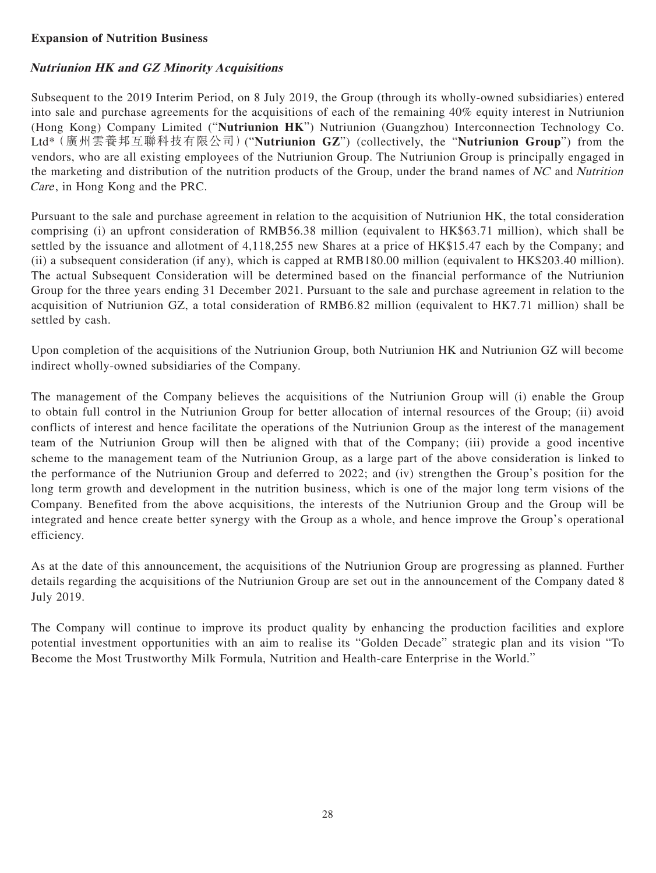# **Expansion of Nutrition Business**

# **Nutriunion HK and GZ Minority Acquisitions**

Subsequent to the 2019 Interim Period, on 8 July 2019, the Group (through its wholly-owned subsidiaries) entered into sale and purchase agreements for the acquisitions of each of the remaining 40% equity interest in Nutriunion (Hong Kong) Company Limited ("**Nutriunion HK**") Nutriunion (Guangzhou) Interconnection Technology Co. Ltd\*(廣州雲養邦互聯科技有限公司)("**Nutriunion GZ**") (collectively, the "**Nutriunion Group**") from the vendors, who are all existing employees of the Nutriunion Group. The Nutriunion Group is principally engaged in the marketing and distribution of the nutrition products of the Group, under the brand names of NC and Nutrition Care, in Hong Kong and the PRC.

Pursuant to the sale and purchase agreement in relation to the acquisition of Nutriunion HK, the total consideration comprising (i) an upfront consideration of RMB56.38 million (equivalent to HK\$63.71 million), which shall be settled by the issuance and allotment of 4,118,255 new Shares at a price of HK\$15.47 each by the Company; and (ii) a subsequent consideration (if any), which is capped at RMB180.00 million (equivalent to HK\$203.40 million). The actual Subsequent Consideration will be determined based on the financial performance of the Nutriunion Group for the three years ending 31 December 2021. Pursuant to the sale and purchase agreement in relation to the acquisition of Nutriunion GZ, a total consideration of RMB6.82 million (equivalent to HK7.71 million) shall be settled by cash.

Upon completion of the acquisitions of the Nutriunion Group, both Nutriunion HK and Nutriunion GZ will become indirect wholly-owned subsidiaries of the Company.

The management of the Company believes the acquisitions of the Nutriunion Group will (i) enable the Group to obtain full control in the Nutriunion Group for better allocation of internal resources of the Group; (ii) avoid conflicts of interest and hence facilitate the operations of the Nutriunion Group as the interest of the management team of the Nutriunion Group will then be aligned with that of the Company; (iii) provide a good incentive scheme to the management team of the Nutriunion Group, as a large part of the above consideration is linked to the performance of the Nutriunion Group and deferred to 2022; and (iv) strengthen the Group's position for the long term growth and development in the nutrition business, which is one of the major long term visions of the Company. Benefited from the above acquisitions, the interests of the Nutriunion Group and the Group will be integrated and hence create better synergy with the Group as a whole, and hence improve the Group's operational efficiency.

As at the date of this announcement, the acquisitions of the Nutriunion Group are progressing as planned. Further details regarding the acquisitions of the Nutriunion Group are set out in the announcement of the Company dated 8 July 2019.

The Company will continue to improve its product quality by enhancing the production facilities and explore potential investment opportunities with an aim to realise its "Golden Decade" strategic plan and its vision "To Become the Most Trustworthy Milk Formula, Nutrition and Health-care Enterprise in the World."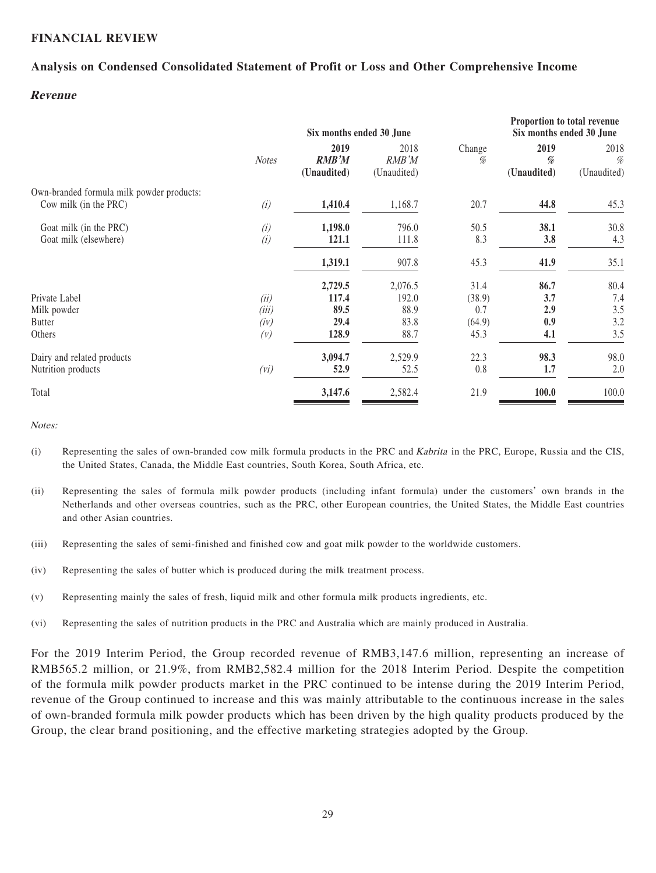# **FINANCIAL REVIEW**

# **Analysis on Condensed Consolidated Statement of Profit or Loss and Other Comprehensive Income**

### **Revenue**

|                                                                    | Six months ended 30 June |                                     |                              | Proportion to total revenue<br>Six months ended 30 June |                          |                             |
|--------------------------------------------------------------------|--------------------------|-------------------------------------|------------------------------|---------------------------------------------------------|--------------------------|-----------------------------|
|                                                                    | <b>Notes</b>             | 2019<br><b>RMB'M</b><br>(Unaudited) | 2018<br>RMB'M<br>(Unaudited) | Change<br>%                                             | 2019<br>%<br>(Unaudited) | 2018<br>$\%$<br>(Unaudited) |
| Own-branded formula milk powder products:<br>Cow milk (in the PRC) | (i)                      | 1,410.4                             | 1,168.7                      | 20.7                                                    | 44.8                     | 45.3                        |
| Goat milk (in the PRC)<br>Goat milk (elsewhere)                    | (i)<br>(i)               | 1,198.0<br>121.1                    | 796.0<br>111.8               | 50.5<br>8.3                                             | 38.1<br>3.8              | 30.8<br>4.3                 |
|                                                                    |                          | 1,319.1                             | 907.8                        | 45.3                                                    | 41.9                     | 35.1                        |
| Private Label<br>Milk powder                                       | (ii)<br>(iii)            | 2,729.5<br>117.4<br>89.5            | 2,076.5<br>192.0<br>88.9     | 31.4<br>(38.9)<br>0.7                                   | 86.7<br>3.7<br>2.9       | 80.4<br>7.4<br>3.5          |
| <b>Butter</b><br>Others                                            | (iv)<br>(V)              | 29.4<br>128.9                       | 83.8<br>88.7                 | (64.9)<br>45.3                                          | 0.9<br>4.1               | 3.2<br>3.5                  |
| Dairy and related products<br>Nutrition products                   | (vi)                     | 3,094.7<br>52.9                     | 2,529.9<br>52.5              | 22.3<br>0.8                                             | 98.3<br>1.7              | 98.0<br>2.0                 |
| Total                                                              |                          | 3,147.6                             | 2,582.4                      | 21.9                                                    | 100.0                    | 100.0                       |

Notes:

- (i) Representing the sales of own-branded cow milk formula products in the PRC and Kabrita in the PRC, Europe, Russia and the CIS, the United States, Canada, the Middle East countries, South Korea, South Africa, etc.
- (ii) Representing the sales of formula milk powder products (including infant formula) under the customers' own brands in the Netherlands and other overseas countries, such as the PRC, other European countries, the United States, the Middle East countries and other Asian countries.
- (iii) Representing the sales of semi-finished and finished cow and goat milk powder to the worldwide customers.
- (iv) Representing the sales of butter which is produced during the milk treatment process.
- (v) Representing mainly the sales of fresh, liquid milk and other formula milk products ingredients, etc.
- (vi) Representing the sales of nutrition products in the PRC and Australia which are mainly produced in Australia.

For the 2019 Interim Period, the Group recorded revenue of RMB3,147.6 million, representing an increase of RMB565.2 million, or 21.9%, from RMB2,582.4 million for the 2018 Interim Period. Despite the competition of the formula milk powder products market in the PRC continued to be intense during the 2019 Interim Period, revenue of the Group continued to increase and this was mainly attributable to the continuous increase in the sales of own-branded formula milk powder products which has been driven by the high quality products produced by the Group, the clear brand positioning, and the effective marketing strategies adopted by the Group.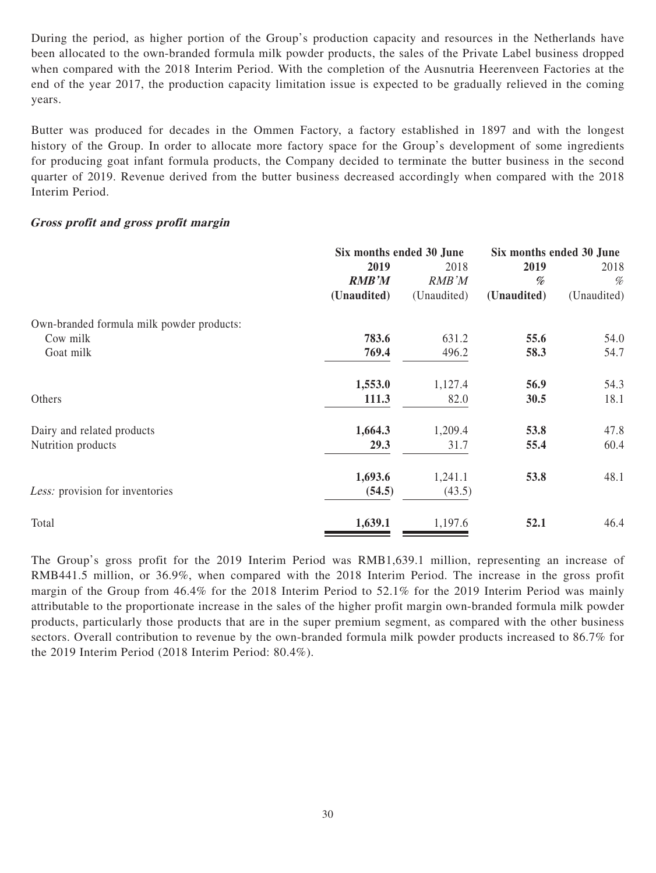During the period, as higher portion of the Group's production capacity and resources in the Netherlands have been allocated to the own-branded formula milk powder products, the sales of the Private Label business dropped when compared with the 2018 Interim Period. With the completion of the Ausnutria Heerenveen Factories at the end of the year 2017, the production capacity limitation issue is expected to be gradually relieved in the coming years.

Butter was produced for decades in the Ommen Factory, a factory established in 1897 and with the longest history of the Group. In order to allocate more factory space for the Group's development of some ingredients for producing goat infant formula products, the Company decided to terminate the butter business in the second quarter of 2019. Revenue derived from the butter business decreased accordingly when compared with the 2018 Interim Period.

### **Gross profit and gross profit margin**

|                                           | Six months ended 30 June |             | Six months ended 30 June |             |
|-------------------------------------------|--------------------------|-------------|--------------------------|-------------|
|                                           | 2019                     | 2018        | 2019                     | 2018        |
|                                           | <b>RMB'M</b>             | RMB'M       | %                        | %           |
|                                           | (Unaudited)              | (Unaudited) | (Unaudited)              | (Unaudited) |
| Own-branded formula milk powder products: |                          |             |                          |             |
| Cow milk                                  | 783.6                    | 631.2       | 55.6                     | 54.0        |
| Goat milk                                 | 769.4                    | 496.2       | 58.3                     | 54.7        |
|                                           | 1,553.0                  | 1,127.4     | 56.9                     | 54.3        |
| Others                                    | 111.3                    | 82.0        | 30.5                     | 18.1        |
| Dairy and related products                | 1,664.3                  | 1,209.4     | 53.8                     | 47.8        |
| Nutrition products                        | 29.3                     | 31.7        | 55.4                     | 60.4        |
|                                           | 1,693.6                  | 1,241.1     | 53.8                     | 48.1        |
| Less: provision for inventories           | (54.5)                   | (43.5)      |                          |             |
| Total                                     | 1,639.1                  | 1,197.6     | 52.1                     | 46.4        |

The Group's gross profit for the 2019 Interim Period was RMB1,639.1 million, representing an increase of RMB441.5 million, or 36.9%, when compared with the 2018 Interim Period. The increase in the gross profit margin of the Group from 46.4% for the 2018 Interim Period to 52.1% for the 2019 Interim Period was mainly attributable to the proportionate increase in the sales of the higher profit margin own-branded formula milk powder products, particularly those products that are in the super premium segment, as compared with the other business sectors. Overall contribution to revenue by the own-branded formula milk powder products increased to 86.7% for the 2019 Interim Period (2018 Interim Period: 80.4%).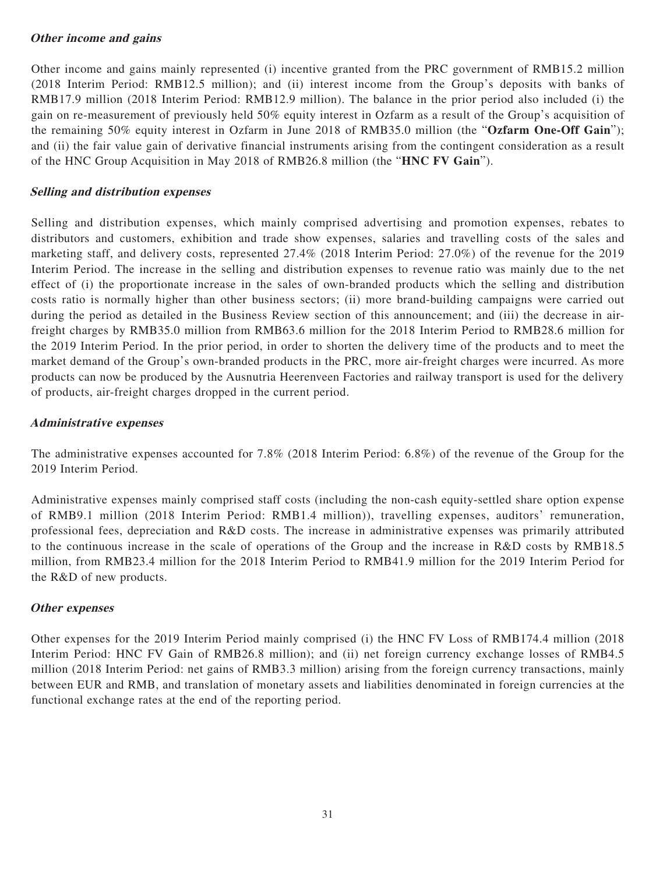# **Other income and gains**

Other income and gains mainly represented (i) incentive granted from the PRC government of RMB15.2 million (2018 Interim Period: RMB12.5 million); and (ii) interest income from the Group's deposits with banks of RMB17.9 million (2018 Interim Period: RMB12.9 million). The balance in the prior period also included (i) the gain on re-measurement of previously held 50% equity interest in Ozfarm as a result of the Group's acquisition of the remaining 50% equity interest in Ozfarm in June 2018 of RMB35.0 million (the "**Ozfarm One-Off Gain**"); and (ii) the fair value gain of derivative financial instruments arising from the contingent consideration as a result of the HNC Group Acquisition in May 2018 of RMB26.8 million (the "**HNC FV Gain**").

# **Selling and distribution expenses**

Selling and distribution expenses, which mainly comprised advertising and promotion expenses, rebates to distributors and customers, exhibition and trade show expenses, salaries and travelling costs of the sales and marketing staff, and delivery costs, represented 27.4% (2018 Interim Period: 27.0%) of the revenue for the 2019 Interim Period. The increase in the selling and distribution expenses to revenue ratio was mainly due to the net effect of (i) the proportionate increase in the sales of own-branded products which the selling and distribution costs ratio is normally higher than other business sectors; (ii) more brand-building campaigns were carried out during the period as detailed in the Business Review section of this announcement; and (iii) the decrease in airfreight charges by RMB35.0 million from RMB63.6 million for the 2018 Interim Period to RMB28.6 million for the 2019 Interim Period. In the prior period, in order to shorten the delivery time of the products and to meet the market demand of the Group's own-branded products in the PRC, more air-freight charges were incurred. As more products can now be produced by the Ausnutria Heerenveen Factories and railway transport is used for the delivery of products, air-freight charges dropped in the current period.

# **Administrative expenses**

The administrative expenses accounted for 7.8% (2018 Interim Period: 6.8%) of the revenue of the Group for the 2019 Interim Period.

Administrative expenses mainly comprised staff costs (including the non-cash equity-settled share option expense of RMB9.1 million (2018 Interim Period: RMB1.4 million)), travelling expenses, auditors' remuneration, professional fees, depreciation and R&D costs. The increase in administrative expenses was primarily attributed to the continuous increase in the scale of operations of the Group and the increase in R&D costs by RMB18.5 million, from RMB23.4 million for the 2018 Interim Period to RMB41.9 million for the 2019 Interim Period for the R&D of new products.

# **Other expenses**

Other expenses for the 2019 Interim Period mainly comprised (i) the HNC FV Loss of RMB174.4 million (2018 Interim Period: HNC FV Gain of RMB26.8 million); and (ii) net foreign currency exchange losses of RMB4.5 million (2018 Interim Period: net gains of RMB3.3 million) arising from the foreign currency transactions, mainly between EUR and RMB, and translation of monetary assets and liabilities denominated in foreign currencies at the functional exchange rates at the end of the reporting period.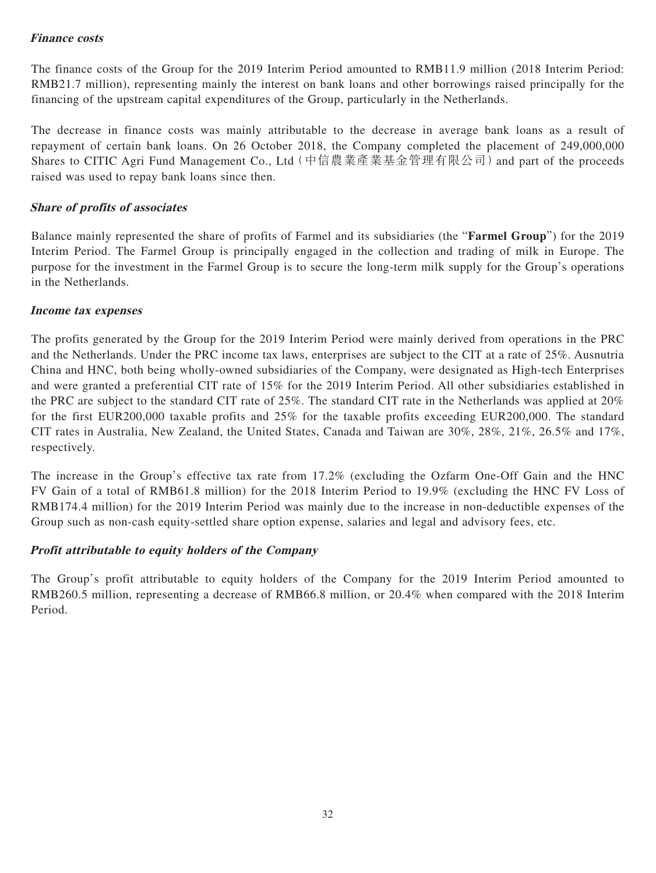# **Finance costs**

The finance costs of the Group for the 2019 Interim Period amounted to RMB11.9 million (2018 Interim Period: RMB21.7 million), representing mainly the interest on bank loans and other borrowings raised principally for the financing of the upstream capital expenditures of the Group, particularly in the Netherlands.

The decrease in finance costs was mainly attributable to the decrease in average bank loans as a result of repayment of certain bank loans. On 26 October 2018, the Company completed the placement of 249,000,000 Shares to CITIC Agri Fund Management Co., Ltd(中信農業產業基金管理有限公司)and part of the proceeds raised was used to repay bank loans since then.

# **Share of profits of associates**

Balance mainly represented the share of profits of Farmel and its subsidiaries (the "**Farmel Group**") for the 2019 Interim Period. The Farmel Group is principally engaged in the collection and trading of milk in Europe. The purpose for the investment in the Farmel Group is to secure the long-term milk supply for the Group's operations in the Netherlands.

# **Income tax expenses**

The profits generated by the Group for the 2019 Interim Period were mainly derived from operations in the PRC and the Netherlands. Under the PRC income tax laws, enterprises are subject to the CIT at a rate of 25%. Ausnutria China and HNC, both being wholly-owned subsidiaries of the Company, were designated as High-tech Enterprises and were granted a preferential CIT rate of 15% for the 2019 Interim Period. All other subsidiaries established in the PRC are subject to the standard CIT rate of 25%. The standard CIT rate in the Netherlands was applied at 20% for the first EUR200,000 taxable profits and 25% for the taxable profits exceeding EUR200,000. The standard CIT rates in Australia, New Zealand, the United States, Canada and Taiwan are 30%, 28%, 21%, 26.5% and 17%, respectively.

The increase in the Group's effective tax rate from 17.2% (excluding the Ozfarm One-Off Gain and the HNC FV Gain of a total of RMB61.8 million) for the 2018 Interim Period to 19.9% (excluding the HNC FV Loss of RMB174.4 million) for the 2019 Interim Period was mainly due to the increase in non-deductible expenses of the Group such as non-cash equity-settled share option expense, salaries and legal and advisory fees, etc.

# **Profit attributable to equity holders of the Company**

The Group's profit attributable to equity holders of the Company for the 2019 Interim Period amounted to RMB260.5 million, representing a decrease of RMB66.8 million, or 20.4% when compared with the 2018 Interim Period.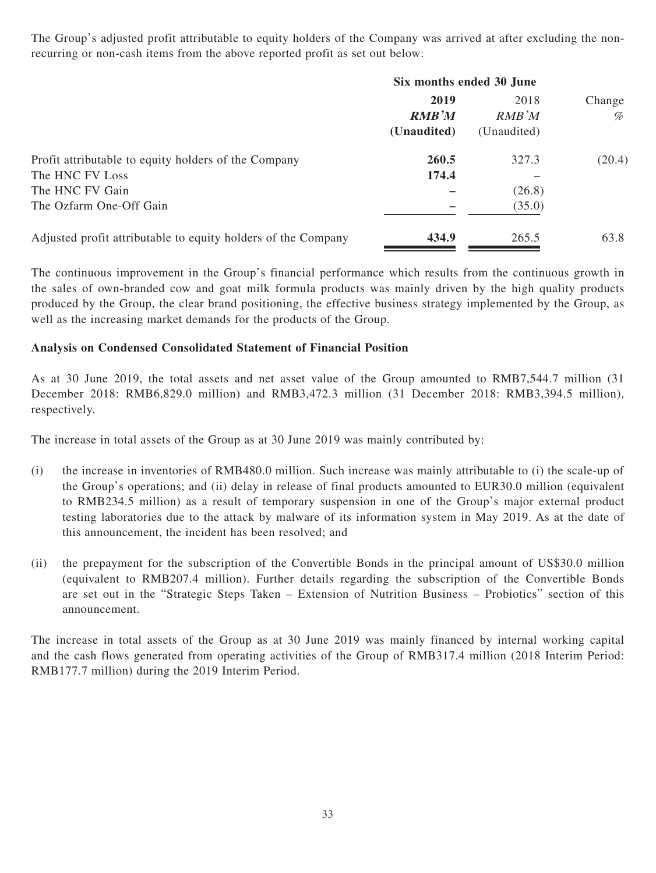The Group's adjusted profit attributable to equity holders of the Company was arrived at after excluding the nonrecurring or non-cash items from the above reported profit as set out below:

|                                                               | Six months ended 30 June |             |        |  |
|---------------------------------------------------------------|--------------------------|-------------|--------|--|
|                                                               | 2019                     | 2018        | Change |  |
|                                                               | <b>RMB'M</b>             | RMB'M       | %      |  |
|                                                               | (Unaudited)              | (Unaudited) |        |  |
| Profit attributable to equity holders of the Company          | 260.5                    | 327.3       | (20.4) |  |
| The HNC FV Loss                                               | 174.4                    |             |        |  |
| The HNC FV Gain                                               |                          | (26.8)      |        |  |
| The Ozfarm One-Off Gain                                       |                          | (35.0)      |        |  |
| Adjusted profit attributable to equity holders of the Company | 434.9                    | 265.5       | 63.8   |  |
|                                                               |                          |             |        |  |

The continuous improvement in the Group's financial performance which results from the continuous growth in the sales of own-branded cow and goat milk formula products was mainly driven by the high quality products produced by the Group, the clear brand positioning, the effective business strategy implemented by the Group, as well as the increasing market demands for the products of the Group.

# **Analysis on Condensed Consolidated Statement of Financial Position**

As at 30 June 2019, the total assets and net asset value of the Group amounted to RMB7,544.7 million (31 December 2018: RMB6,829.0 million) and RMB3,472.3 million (31 December 2018: RMB3,394.5 million), respectively.

The increase in total assets of the Group as at 30 June 2019 was mainly contributed by:

- (i) the increase in inventories of RMB480.0 million. Such increase was mainly attributable to (i) the scale-up of the Group's operations; and (ii) delay in release of final products amounted to EUR30.0 million (equivalent to RMB234.5 million) as a result of temporary suspension in one of the Group's major external product testing laboratories due to the attack by malware of its information system in May 2019. As at the date of this announcement, the incident has been resolved; and
- (ii) the prepayment for the subscription of the Convertible Bonds in the principal amount of US\$30.0 million (equivalent to RMB207.4 million). Further details regarding the subscription of the Convertible Bonds are set out in the "Strategic Steps Taken – Extension of Nutrition Business – Probiotics" section of this announcement.

The increase in total assets of the Group as at 30 June 2019 was mainly financed by internal working capital and the cash flows generated from operating activities of the Group of RMB317.4 million (2018 Interim Period: RMB177.7 million) during the 2019 Interim Period.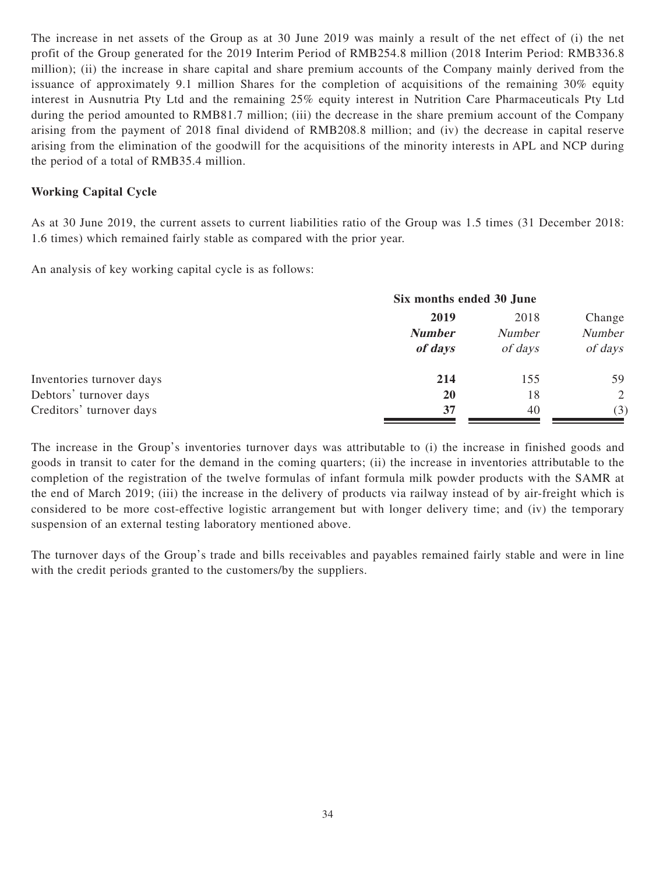The increase in net assets of the Group as at 30 June 2019 was mainly a result of the net effect of (i) the net profit of the Group generated for the 2019 Interim Period of RMB254.8 million (2018 Interim Period: RMB336.8 million); (ii) the increase in share capital and share premium accounts of the Company mainly derived from the issuance of approximately 9.1 million Shares for the completion of acquisitions of the remaining 30% equity interest in Ausnutria Pty Ltd and the remaining 25% equity interest in Nutrition Care Pharmaceuticals Pty Ltd during the period amounted to RMB81.7 million; (iii) the decrease in the share premium account of the Company arising from the payment of 2018 final dividend of RMB208.8 million; and (iv) the decrease in capital reserve arising from the elimination of the goodwill for the acquisitions of the minority interests in APL and NCP during the period of a total of RMB35.4 million.

# **Working Capital Cycle**

As at 30 June 2019, the current assets to current liabilities ratio of the Group was 1.5 times (31 December 2018: 1.6 times) which remained fairly stable as compared with the prior year.

An analysis of key working capital cycle is as follows:

|                           | Six months ended 30 June |               |         |  |
|---------------------------|--------------------------|---------------|---------|--|
|                           | 2019                     | Change        |         |  |
|                           | <b>Number</b>            | <b>Number</b> | Number  |  |
|                           | of days                  | of days       | of days |  |
| Inventories turnover days | 214                      | 155           | 59      |  |
| Debtors' turnover days    | <b>20</b>                | 18            | 2       |  |
| Creditors' turnover days  | 37                       | 40            | (3)     |  |

The increase in the Group's inventories turnover days was attributable to (i) the increase in finished goods and goods in transit to cater for the demand in the coming quarters; (ii) the increase in inventories attributable to the completion of the registration of the twelve formulas of infant formula milk powder products with the SAMR at the end of March 2019; (iii) the increase in the delivery of products via railway instead of by air-freight which is considered to be more cost-effective logistic arrangement but with longer delivery time; and (iv) the temporary suspension of an external testing laboratory mentioned above.

The turnover days of the Group's trade and bills receivables and payables remained fairly stable and were in line with the credit periods granted to the customers/by the suppliers.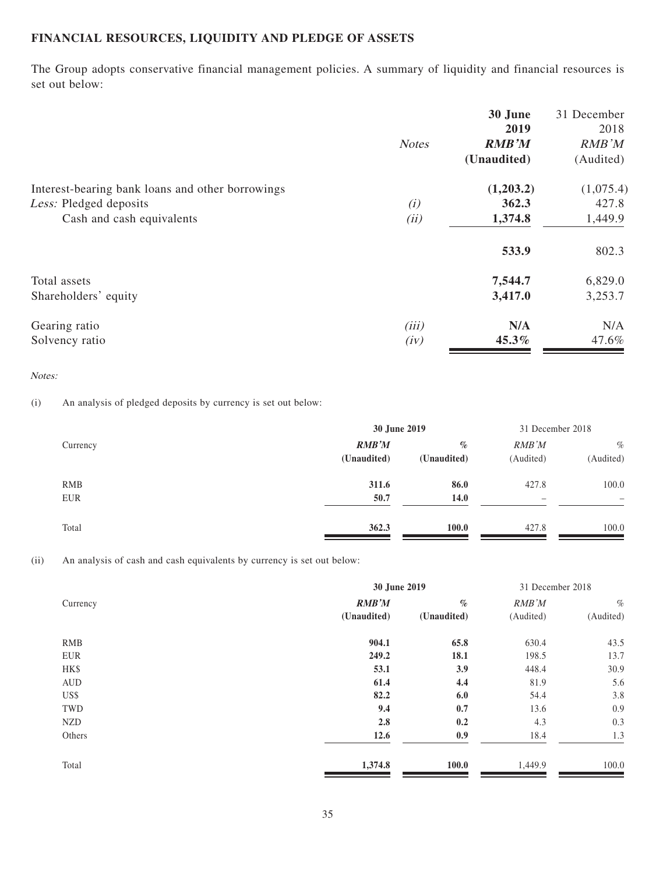# **FINANCIAL RESOURCES, LIQUIDITY AND PLEDGE OF ASSETS**

The Group adopts conservative financial management policies. A summary of liquidity and financial resources is set out below:

|                                                  |              | 30 June      | 31 December |
|--------------------------------------------------|--------------|--------------|-------------|
|                                                  |              | 2019         | 2018        |
|                                                  | <b>Notes</b> | <b>RMB'M</b> | RMB'M       |
|                                                  |              | (Unaudited)  | (Audited)   |
| Interest-bearing bank loans and other borrowings |              | (1,203.2)    | (1,075.4)   |
| Less: Pledged deposits                           | (i)          | 362.3        | 427.8       |
| Cash and cash equivalents                        | (ii)         | 1,374.8      | 1,449.9     |
|                                                  |              | 533.9        | 802.3       |
| Total assets                                     |              | 7,544.7      | 6,829.0     |
| Shareholders' equity                             |              | 3,417.0      | 3,253.7     |
| Gearing ratio                                    | (iii)        | N/A          | N/A         |
| Solvency ratio                                   | (iv)         | 45.3%        | 47.6%       |

#### Notes:

(i) An analysis of pledged deposits by currency is set out below:

|            | 30 June 2019 | 31 December 2018 |                          |                   |
|------------|--------------|------------------|--------------------------|-------------------|
| Currency   | RMB'M        | $\%$             | RMB'M                    | $\%$              |
|            | (Unaudited)  | (Unaudited)      | (Audited)                | (Audited)         |
| <b>RMB</b> | 311.6        | 86.0             | 427.8                    | 100.0             |
| EUR        | 50.7         | 14.0             | $\overline{\phantom{0}}$ | $\qquad \qquad -$ |
| Total      | 362.3        | 100.0            | 427.8                    | 100.0             |

(ii) An analysis of cash and cash equivalents by currency is set out below:

|            | 30 June 2019 | 31 December 2018 |           |           |  |
|------------|--------------|------------------|-----------|-----------|--|
| Currency   | RMB'M        | $\%$             | RMB'M     | $\%$      |  |
|            | (Unaudited)  | (Unaudited)      | (Audited) | (Audited) |  |
| <b>RMB</b> | 904.1        | 65.8             | 630.4     | 43.5      |  |
| EUR        | 249.2        | 18.1             | 198.5     | 13.7      |  |
| HK\$       | 53.1         | 3.9              | 448.4     | 30.9      |  |
| AUD        | 61.4         | 4.4              | 81.9      | 5.6       |  |
| US\$       | 82.2         | 6.0              | 54.4      | 3.8       |  |
| TWD        | 9.4          | 0.7              | 13.6      | 0.9       |  |
| <b>NZD</b> | 2.8          | 0.2              | 4.3       | 0.3       |  |
| Others     | 12.6         | 0.9              | 18.4      | 1.3       |  |
| Total      | 1,374.8      | 100.0            | 1,449.9   | 100.0     |  |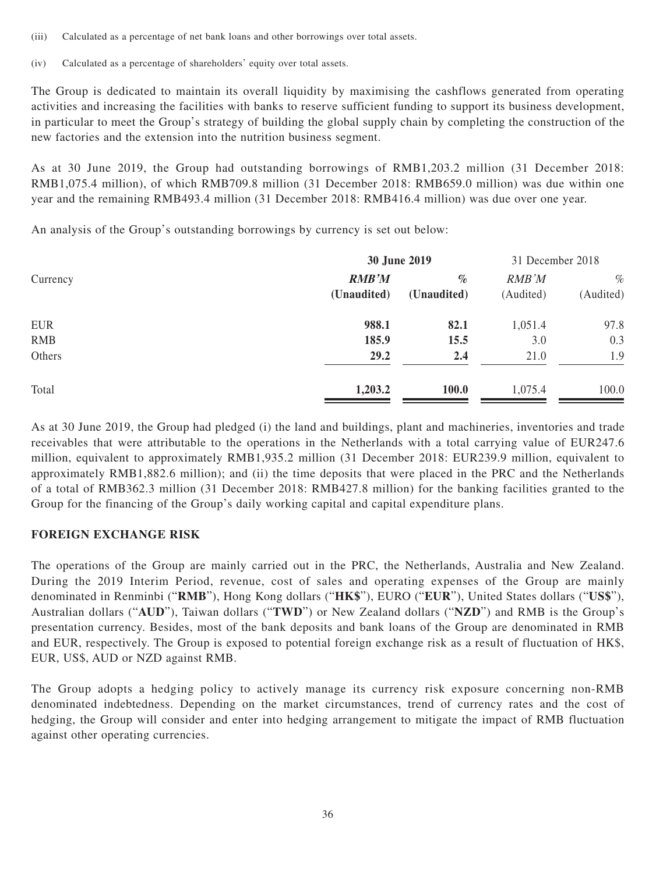- (iii) Calculated as a percentage of net bank loans and other borrowings over total assets.
- (iv) Calculated as a percentage of shareholders' equity over total assets.

The Group is dedicated to maintain its overall liquidity by maximising the cashflows generated from operating activities and increasing the facilities with banks to reserve sufficient funding to support its business development, in particular to meet the Group's strategy of building the global supply chain by completing the construction of the new factories and the extension into the nutrition business segment.

As at 30 June 2019, the Group had outstanding borrowings of RMB1,203.2 million (31 December 2018: RMB1,075.4 million), of which RMB709.8 million (31 December 2018: RMB659.0 million) was due within one year and the remaining RMB493.4 million (31 December 2018: RMB416.4 million) was due over one year.

An analysis of the Group's outstanding borrowings by currency is set out below:

|            | 30 June 2019 | 31 December 2018 |           |           |  |
|------------|--------------|------------------|-----------|-----------|--|
| Currency   | <b>RMB'M</b> | $\%$             | RMB'M     | $\%$      |  |
|            | (Unaudited)  | (Unaudited)      | (Audited) | (Audited) |  |
| <b>EUR</b> | 988.1        | 82.1             | 1,051.4   | 97.8      |  |
| <b>RMB</b> | 185.9        | 15.5             | 3.0       | 0.3       |  |
| Others     | 29.2         | 2.4              | 21.0      | 1.9       |  |
| Total      | 1,203.2      | 100.0            | 1,075.4   | 100.0     |  |

As at 30 June 2019, the Group had pledged (i) the land and buildings, plant and machineries, inventories and trade receivables that were attributable to the operations in the Netherlands with a total carrying value of EUR247.6 million, equivalent to approximately RMB1,935.2 million (31 December 2018: EUR239.9 million, equivalent to approximately RMB1,882.6 million); and (ii) the time deposits that were placed in the PRC and the Netherlands of a total of RMB362.3 million (31 December 2018: RMB427.8 million) for the banking facilities granted to the Group for the financing of the Group's daily working capital and capital expenditure plans.

# **FOREIGN EXCHANGE RISK**

The operations of the Group are mainly carried out in the PRC, the Netherlands, Australia and New Zealand. During the 2019 Interim Period, revenue, cost of sales and operating expenses of the Group are mainly denominated in Renminbi ("**RMB**"), Hong Kong dollars ("**HK\$**"), EURO ("**EUR**"), United States dollars ("**US\$**"), Australian dollars ("**AUD**"), Taiwan dollars ("**TWD**") or New Zealand dollars ("**NZD**") and RMB is the Group's presentation currency. Besides, most of the bank deposits and bank loans of the Group are denominated in RMB and EUR, respectively. The Group is exposed to potential foreign exchange risk as a result of fluctuation of HK\$, EUR, US\$, AUD or NZD against RMB.

The Group adopts a hedging policy to actively manage its currency risk exposure concerning non-RMB denominated indebtedness. Depending on the market circumstances, trend of currency rates and the cost of hedging, the Group will consider and enter into hedging arrangement to mitigate the impact of RMB fluctuation against other operating currencies.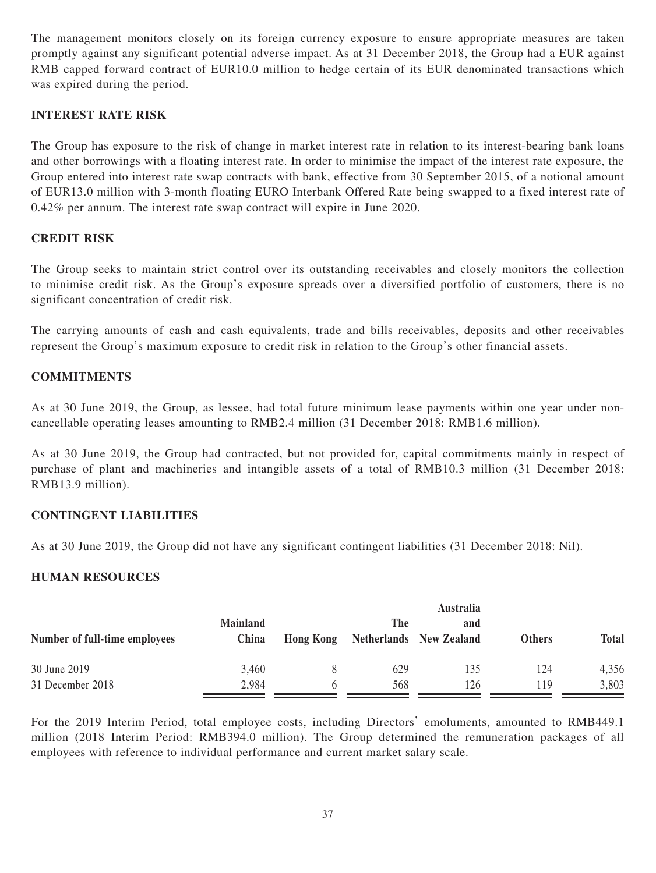The management monitors closely on its foreign currency exposure to ensure appropriate measures are taken promptly against any significant potential adverse impact. As at 31 December 2018, the Group had a EUR against RMB capped forward contract of EUR10.0 million to hedge certain of its EUR denominated transactions which was expired during the period.

# **INTEREST RATE RISK**

The Group has exposure to the risk of change in market interest rate in relation to its interest-bearing bank loans and other borrowings with a floating interest rate. In order to minimise the impact of the interest rate exposure, the Group entered into interest rate swap contracts with bank, effective from 30 September 2015, of a notional amount of EUR13.0 million with 3-month floating EURO Interbank Offered Rate being swapped to a fixed interest rate of 0.42% per annum. The interest rate swap contract will expire in June 2020.

# **CREDIT RISK**

The Group seeks to maintain strict control over its outstanding receivables and closely monitors the collection to minimise credit risk. As the Group's exposure spreads over a diversified portfolio of customers, there is no significant concentration of credit risk.

The carrying amounts of cash and cash equivalents, trade and bills receivables, deposits and other receivables represent the Group's maximum exposure to credit risk in relation to the Group's other financial assets.

# **COMMITMENTS**

As at 30 June 2019, the Group, as lessee, had total future minimum lease payments within one year under noncancellable operating leases amounting to RMB2.4 million (31 December 2018: RMB1.6 million).

As at 30 June 2019, the Group had contracted, but not provided for, capital commitments mainly in respect of purchase of plant and machineries and intangible assets of a total of RMB10.3 million (31 December 2018: RMB13.9 million).

# **CONTINGENT LIABILITIES**

As at 30 June 2019, the Group did not have any significant contingent liabilities (31 December 2018: Nil).

# **HUMAN RESOURCES**

|                               |                          | <b>Australia</b> |     |                                |               |              |
|-------------------------------|--------------------------|------------------|-----|--------------------------------|---------------|--------------|
| Number of full-time employees | <b>Mainland</b><br>China | <b>Hong Kong</b> | The | and<br>Netherlands New Zealand | <b>Others</b> | <b>Total</b> |
| 30 June 2019                  | 3,460                    |                  | 629 | 135                            | 124           | 4,356        |
| 31 December 2018              | 2,984                    |                  | 568 | 126                            | 119           | 3,803        |

For the 2019 Interim Period, total employee costs, including Directors' emoluments, amounted to RMB449.1 million (2018 Interim Period: RMB394.0 million). The Group determined the remuneration packages of all employees with reference to individual performance and current market salary scale.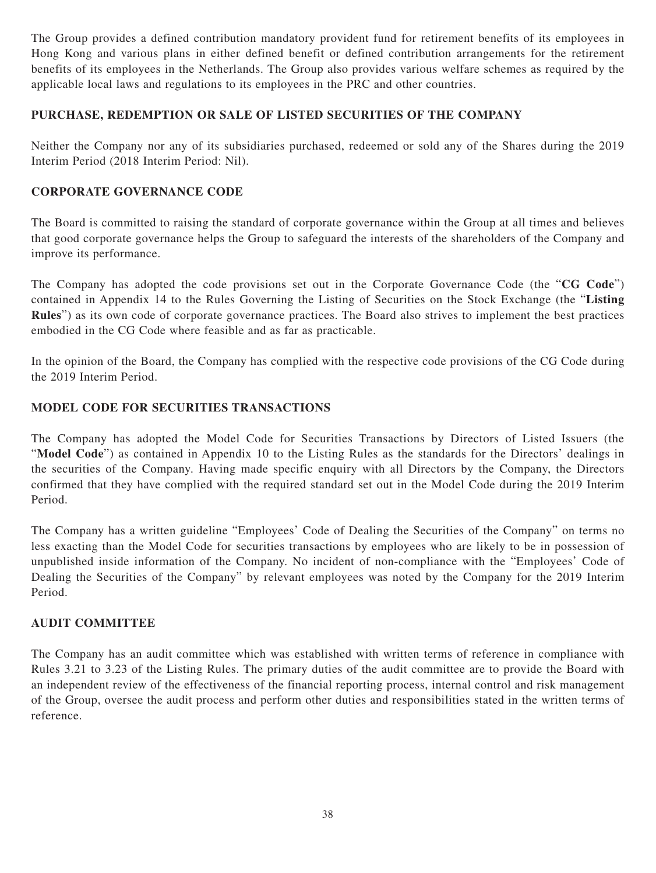The Group provides a defined contribution mandatory provident fund for retirement benefits of its employees in Hong Kong and various plans in either defined benefit or defined contribution arrangements for the retirement benefits of its employees in the Netherlands. The Group also provides various welfare schemes as required by the applicable local laws and regulations to its employees in the PRC and other countries.

# **PURCHASE, REDEMPTION OR SALE OF LISTED SECURITIES OF THE COMPANY**

Neither the Company nor any of its subsidiaries purchased, redeemed or sold any of the Shares during the 2019 Interim Period (2018 Interim Period: Nil).

# **CORPORATE GOVERNANCE CODE**

The Board is committed to raising the standard of corporate governance within the Group at all times and believes that good corporate governance helps the Group to safeguard the interests of the shareholders of the Company and improve its performance.

The Company has adopted the code provisions set out in the Corporate Governance Code (the "**CG Code**") contained in Appendix 14 to the Rules Governing the Listing of Securities on the Stock Exchange (the "**Listing Rules**") as its own code of corporate governance practices. The Board also strives to implement the best practices embodied in the CG Code where feasible and as far as practicable.

In the opinion of the Board, the Company has complied with the respective code provisions of the CG Code during the 2019 Interim Period.

# **MODEL CODE FOR SECURITIES TRANSACTIONS**

The Company has adopted the Model Code for Securities Transactions by Directors of Listed Issuers (the "**Model Code**") as contained in Appendix 10 to the Listing Rules as the standards for the Directors' dealings in the securities of the Company. Having made specific enquiry with all Directors by the Company, the Directors confirmed that they have complied with the required standard set out in the Model Code during the 2019 Interim Period.

The Company has a written guideline "Employees' Code of Dealing the Securities of the Company" on terms no less exacting than the Model Code for securities transactions by employees who are likely to be in possession of unpublished inside information of the Company. No incident of non-compliance with the "Employees' Code of Dealing the Securities of the Company" by relevant employees was noted by the Company for the 2019 Interim Period.

# **AUDIT COMMITTEE**

The Company has an audit committee which was established with written terms of reference in compliance with Rules 3.21 to 3.23 of the Listing Rules. The primary duties of the audit committee are to provide the Board with an independent review of the effectiveness of the financial reporting process, internal control and risk management of the Group, oversee the audit process and perform other duties and responsibilities stated in the written terms of reference.